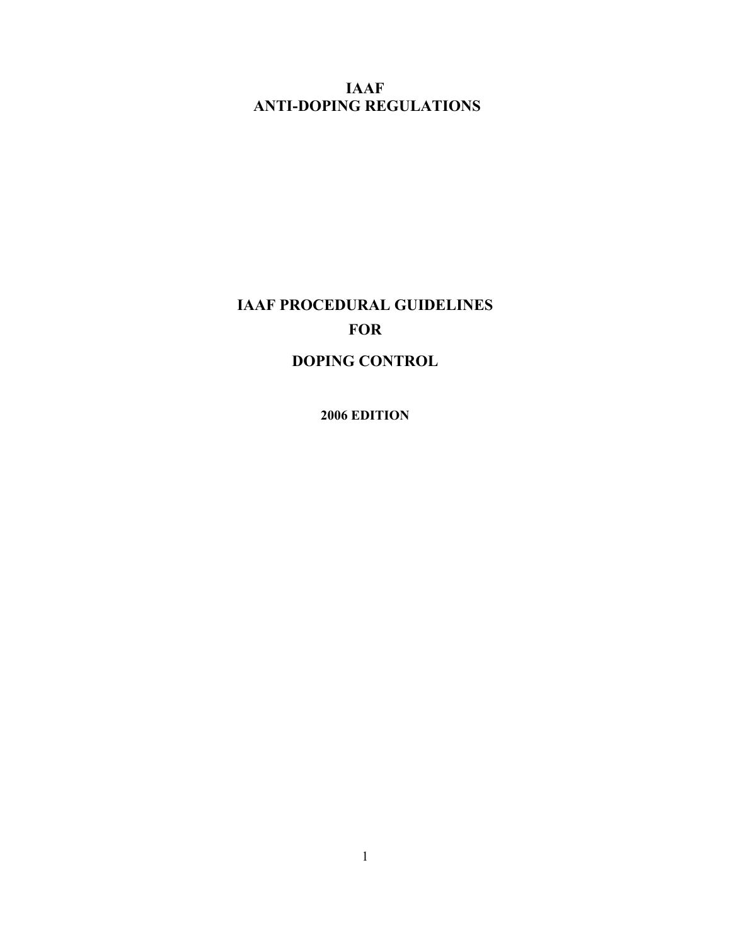**IAAF ANTI-DOPING REGULATIONS** 

# **IAAF PROCEDURAL GUIDELINES FOR**

# **DOPING CONTROL**

**2006 EDITION**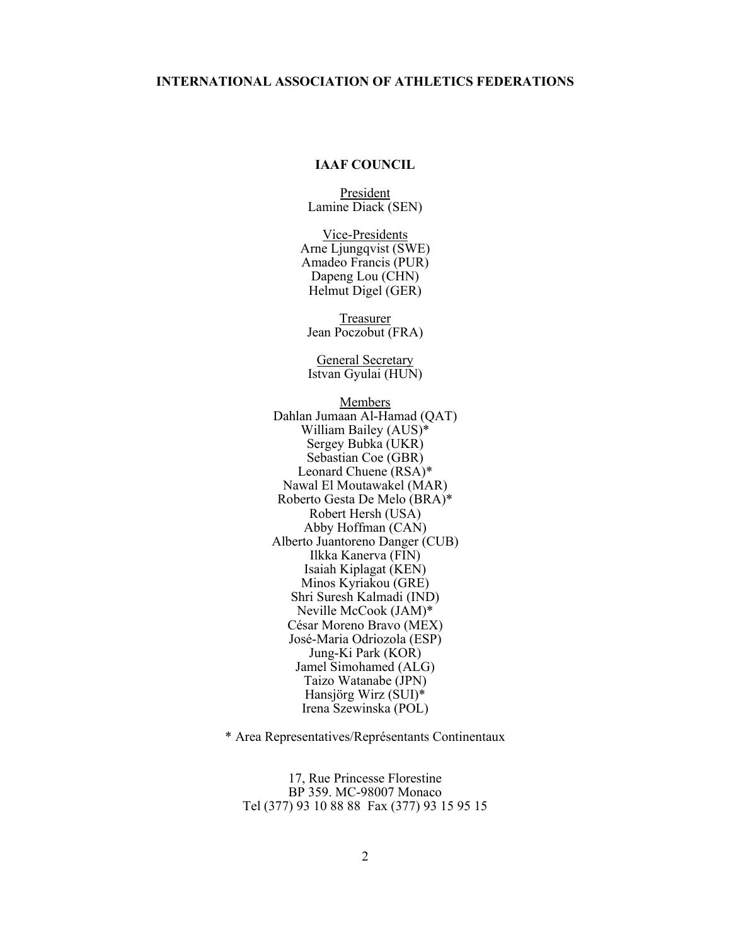#### **INTERNATIONAL ASSOCIATION OF ATHLETICS FEDERATIONS**

#### **IAAF COUNCIL**

President Lamine Diack (SEN)

Vice-Presidents Arne Ljungqvist (SWE) Amadeo Francis (PUR) Dapeng Lou (CHN) Helmut Digel (GER)

**Treasurer** Jean Poczobut (FRA)

General Secretary Istvan Gyulai (HUN)

Members Dahlan Jumaan Al-Hamad (QAT) William Bailey (AUS)\* Sergey Bubka (UKR) Sebastian Coe (GBR) Leonard Chuene (RSA)\* Nawal El Moutawakel (MAR) Roberto Gesta De Melo (BRA)\* Robert Hersh (USA) Abby Hoffman (CAN) Alberto Juantoreno Danger (CUB) Ilkka Kanerva (FIN) Isaiah Kiplagat (KEN) Minos Kyriakou (GRE) Shri Suresh Kalmadi (IND) Neville McCook (JAM)\* César Moreno Bravo (MEX) José-Maria Odriozola (ESP) Jung-Ki Park (KOR) Jamel Simohamed (ALG) Taizo Watanabe (JPN) Hansjörg Wirz (SUI)\* Irena Szewinska (POL)

\* Area Representatives/Représentants Continentaux

17, Rue Princesse Florestine BP 359. MC-98007 Monaco Tel (377) 93 10 88 88 Fax (377) 93 15 95 15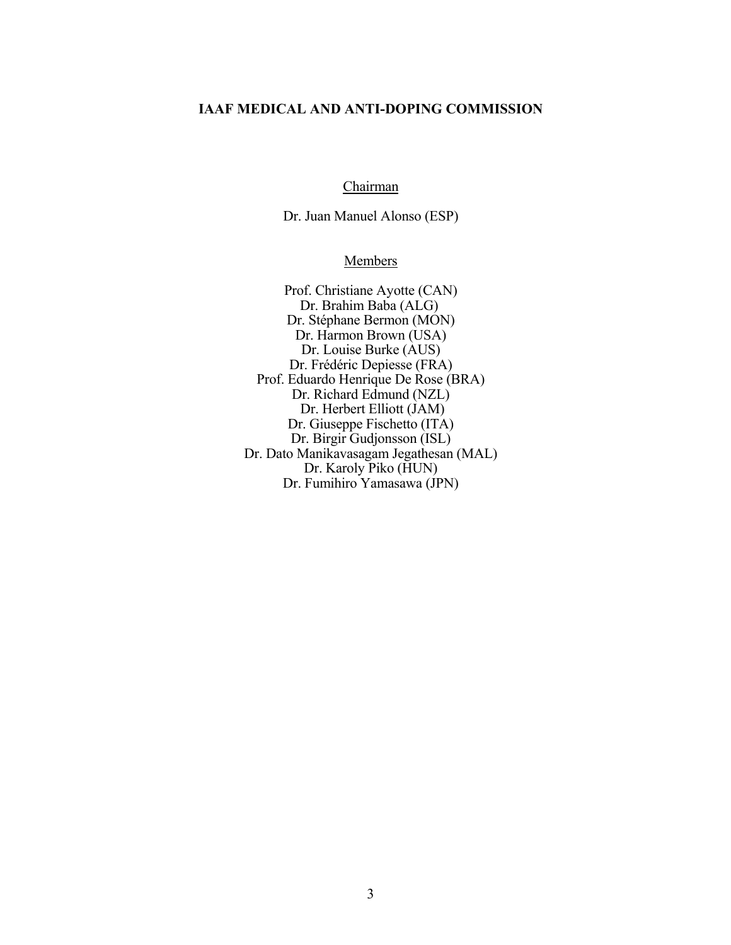#### **IAAF MEDICAL AND ANTI-DOPING COMMISSION**

#### Chairman

Dr. Juan Manuel Alonso (ESP)

#### **Members**

Prof. Christiane Ayotte (CAN) Dr. Brahim Baba (ALG) Dr. Stéphane Bermon (MON) Dr. Harmon Brown (USA) Dr. Louise Burke (AUS) Dr. Frédéric Depiesse (FRA) Prof. Eduardo Henrique De Rose (BRA) Dr. Richard Edmund (NZL) Dr. Herbert Elliott (JAM) Dr. Giuseppe Fischetto (ITA) Dr. Birgir Gudjonsson (ISL) Dr. Dato Manikavasagam Jegathesan (MAL) Dr. Karoly Piko (HUN) Dr. Fumihiro Yamasawa (JPN)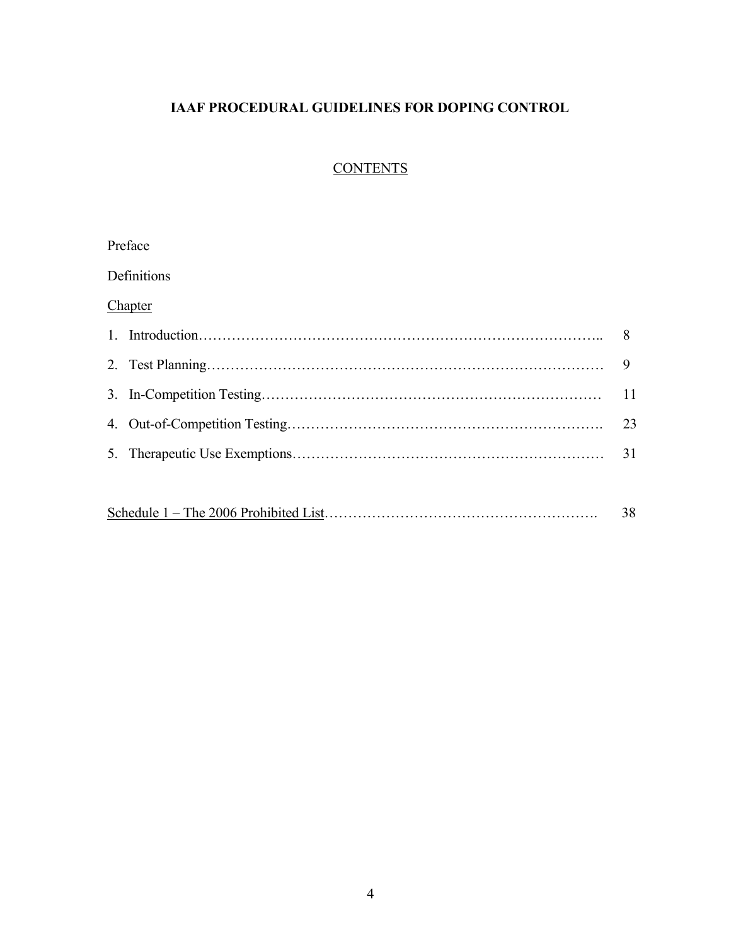# **IAAF PROCEDURAL GUIDELINES FOR DOPING CONTROL**

# **CONTENTS**

| Preface     |    |
|-------------|----|
| Definitions |    |
| Chapter     |    |
|             | 8  |
|             | 9  |
|             | 11 |
|             | 23 |
|             | 31 |
|             |    |
|             |    |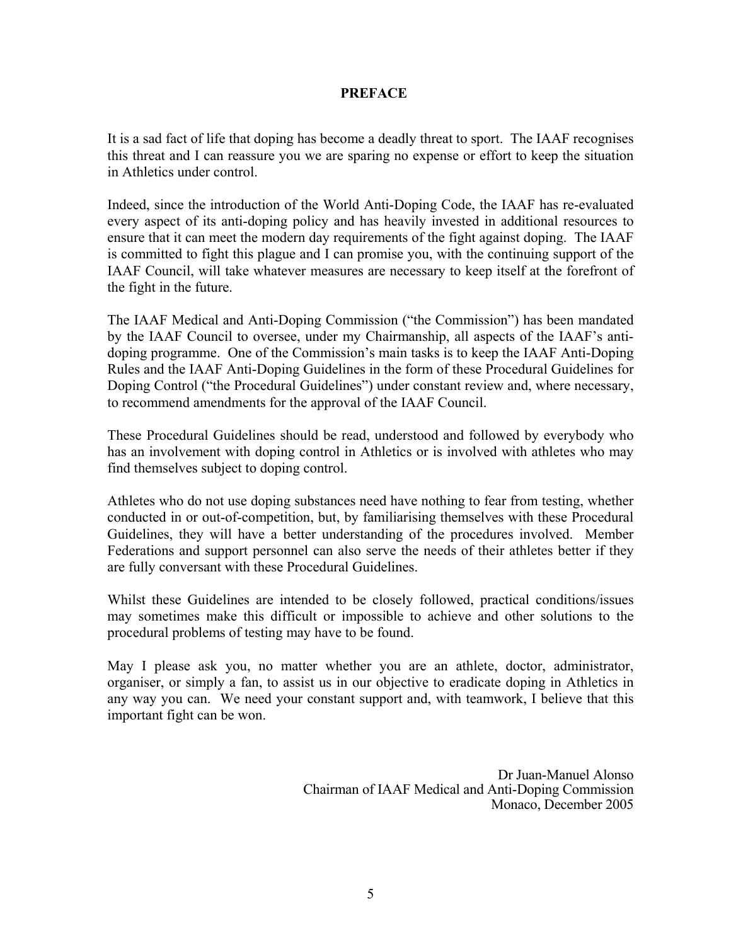#### **PREFACE**

It is a sad fact of life that doping has become a deadly threat to sport. The IAAF recognises this threat and I can reassure you we are sparing no expense or effort to keep the situation in Athletics under control.

Indeed, since the introduction of the World Anti-Doping Code, the IAAF has re-evaluated every aspect of its anti-doping policy and has heavily invested in additional resources to ensure that it can meet the modern day requirements of the fight against doping. The IAAF is committed to fight this plague and I can promise you, with the continuing support of the IAAF Council, will take whatever measures are necessary to keep itself at the forefront of the fight in the future.

The IAAF Medical and Anti-Doping Commission ("the Commission") has been mandated by the IAAF Council to oversee, under my Chairmanship, all aspects of the IAAF's antidoping programme. One of the Commission's main tasks is to keep the IAAF Anti-Doping Rules and the IAAF Anti-Doping Guidelines in the form of these Procedural Guidelines for Doping Control ("the Procedural Guidelines") under constant review and, where necessary, to recommend amendments for the approval of the IAAF Council.

These Procedural Guidelines should be read, understood and followed by everybody who has an involvement with doping control in Athletics or is involved with athletes who may find themselves subject to doping control.

Athletes who do not use doping substances need have nothing to fear from testing, whether conducted in or out-of-competition, but, by familiarising themselves with these Procedural Guidelines, they will have a better understanding of the procedures involved. Member Federations and support personnel can also serve the needs of their athletes better if they are fully conversant with these Procedural Guidelines.

Whilst these Guidelines are intended to be closely followed, practical conditions/issues may sometimes make this difficult or impossible to achieve and other solutions to the procedural problems of testing may have to be found.

May I please ask you, no matter whether you are an athlete, doctor, administrator, organiser, or simply a fan, to assist us in our objective to eradicate doping in Athletics in any way you can. We need your constant support and, with teamwork, I believe that this important fight can be won.

> Dr Juan-Manuel Alonso Chairman of IAAF Medical and Anti-Doping Commission Monaco, December 2005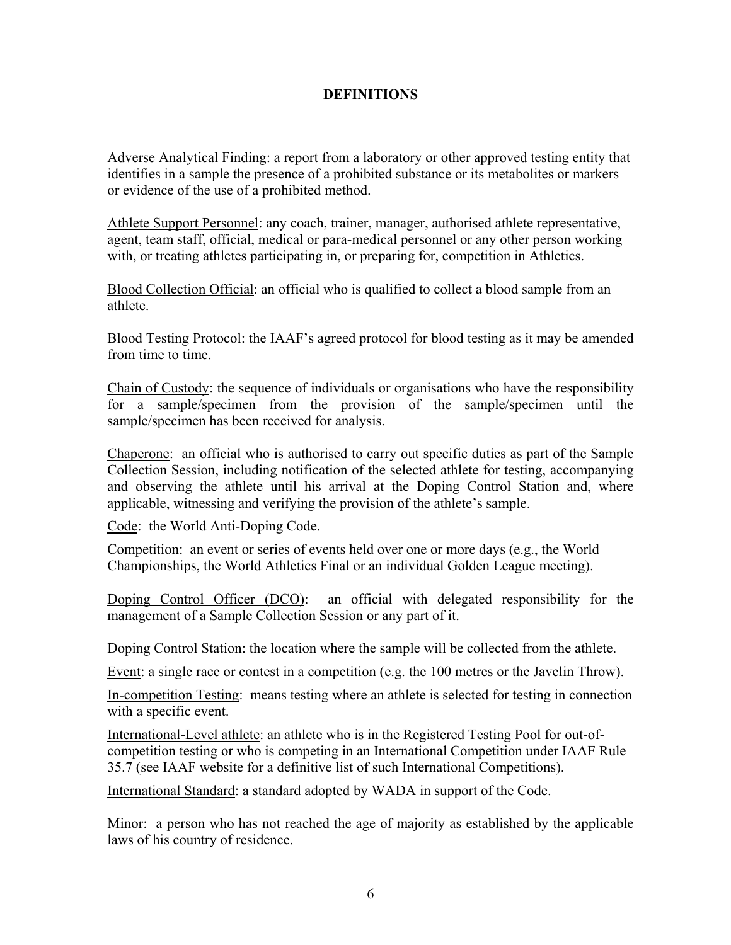## **DEFINITIONS**

Adverse Analytical Finding: a report from a laboratory or other approved testing entity that identifies in a sample the presence of a prohibited substance or its metabolites or markers or evidence of the use of a prohibited method.

Athlete Support Personnel: any coach, trainer, manager, authorised athlete representative, agent, team staff, official, medical or para-medical personnel or any other person working with, or treating athletes participating in, or preparing for, competition in Athletics.

Blood Collection Official: an official who is qualified to collect a blood sample from an athlete.

Blood Testing Protocol: the IAAF's agreed protocol for blood testing as it may be amended from time to time.

Chain of Custody: the sequence of individuals or organisations who have the responsibility for a sample/specimen from the provision of the sample/specimen until the sample/specimen has been received for analysis.

Chaperone: an official who is authorised to carry out specific duties as part of the Sample Collection Session, including notification of the selected athlete for testing, accompanying and observing the athlete until his arrival at the Doping Control Station and, where applicable, witnessing and verifying the provision of the athlete's sample.

Code: the World Anti-Doping Code.

Competition: an event or series of events held over one or more days (e.g., the World Championships, the World Athletics Final or an individual Golden League meeting).

Doping Control Officer (DCO): an official with delegated responsibility for the management of a Sample Collection Session or any part of it.

Doping Control Station: the location where the sample will be collected from the athlete.

Event: a single race or contest in a competition (e.g. the 100 metres or the Javelin Throw).

In-competition Testing: means testing where an athlete is selected for testing in connection with a specific event.

International-Level athlete: an athlete who is in the Registered Testing Pool for out-ofcompetition testing or who is competing in an International Competition under IAAF Rule 35.7 (see IAAF website for a definitive list of such International Competitions).

International Standard: a standard adopted by WADA in support of the Code.

Minor: a person who has not reached the age of majority as established by the applicable laws of his country of residence.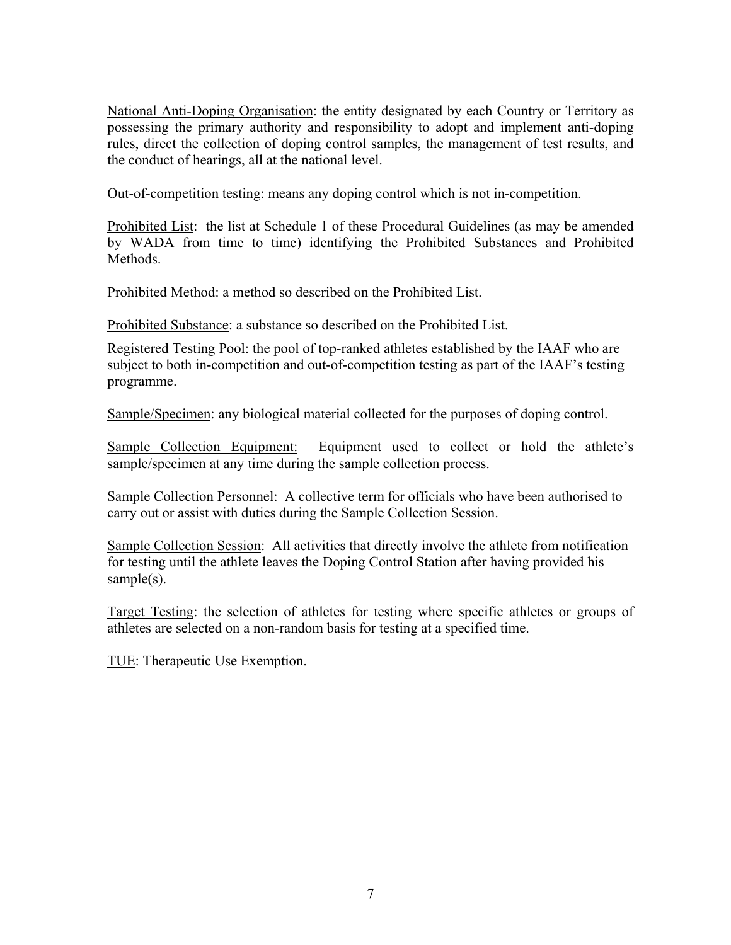National Anti-Doping Organisation: the entity designated by each Country or Territory as possessing the primary authority and responsibility to adopt and implement anti-doping rules, direct the collection of doping control samples, the management of test results, and the conduct of hearings, all at the national level.

Out-of-competition testing: means any doping control which is not in-competition.

Prohibited List: the list at Schedule 1 of these Procedural Guidelines (as may be amended by WADA from time to time) identifying the Prohibited Substances and Prohibited **Methods** 

Prohibited Method: a method so described on the Prohibited List.

Prohibited Substance: a substance so described on the Prohibited List.

Registered Testing Pool: the pool of top-ranked athletes established by the IAAF who are subject to both in-competition and out-of-competition testing as part of the IAAF's testing programme.

Sample/Specimen: any biological material collected for the purposes of doping control.

Sample Collection Equipment: Equipment used to collect or hold the athlete's sample/specimen at any time during the sample collection process.

Sample Collection Personnel: A collective term for officials who have been authorised to carry out or assist with duties during the Sample Collection Session.

Sample Collection Session: All activities that directly involve the athlete from notification for testing until the athlete leaves the Doping Control Station after having provided his sample(s).

Target Testing: the selection of athletes for testing where specific athletes or groups of athletes are selected on a non-random basis for testing at a specified time.

TUE: Therapeutic Use Exemption.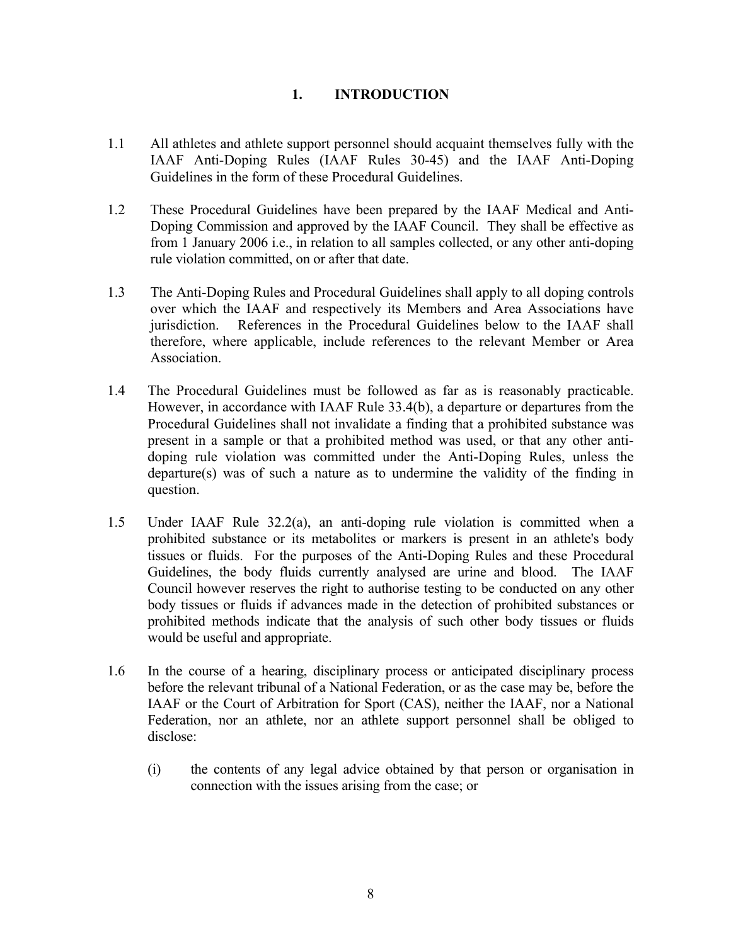## **1. INTRODUCTION**

- 1.1 All athletes and athlete support personnel should acquaint themselves fully with the IAAF Anti-Doping Rules (IAAF Rules 30-45) and the IAAF Anti-Doping Guidelines in the form of these Procedural Guidelines.
- 1.2 These Procedural Guidelines have been prepared by the IAAF Medical and Anti-Doping Commission and approved by the IAAF Council. They shall be effective as from 1 January 2006 i.e., in relation to all samples collected, or any other anti-doping rule violation committed, on or after that date.
- 1.3 The Anti-Doping Rules and Procedural Guidelines shall apply to all doping controls over which the IAAF and respectively its Members and Area Associations have jurisdiction. References in the Procedural Guidelines below to the IAAF shall therefore, where applicable, include references to the relevant Member or Area Association.
- 1.4 The Procedural Guidelines must be followed as far as is reasonably practicable. However, in accordance with IAAF Rule 33.4(b), a departure or departures from the Procedural Guidelines shall not invalidate a finding that a prohibited substance was present in a sample or that a prohibited method was used, or that any other antidoping rule violation was committed under the Anti-Doping Rules, unless the departure(s) was of such a nature as to undermine the validity of the finding in question.
- 1.5 Under IAAF Rule 32.2(a), an anti-doping rule violation is committed when a prohibited substance or its metabolites or markers is present in an athlete's body tissues or fluids. For the purposes of the Anti-Doping Rules and these Procedural Guidelines, the body fluids currently analysed are urine and blood. The IAAF Council however reserves the right to authorise testing to be conducted on any other body tissues or fluids if advances made in the detection of prohibited substances or prohibited methods indicate that the analysis of such other body tissues or fluids would be useful and appropriate.
- 1.6 In the course of a hearing, disciplinary process or anticipated disciplinary process before the relevant tribunal of a National Federation, or as the case may be, before the IAAF or the Court of Arbitration for Sport (CAS), neither the IAAF, nor a National Federation, nor an athlete, nor an athlete support personnel shall be obliged to disclose:
	- (i) the contents of any legal advice obtained by that person or organisation in connection with the issues arising from the case; or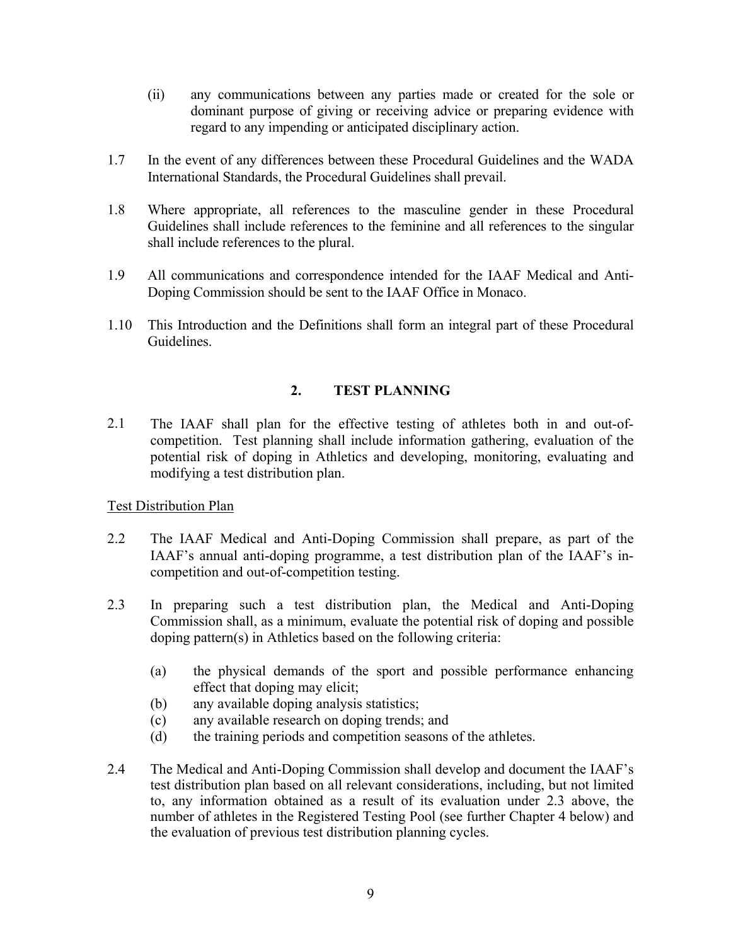- (ii) any communications between any parties made or created for the sole or dominant purpose of giving or receiving advice or preparing evidence with regard to any impending or anticipated disciplinary action.
- 1.7 In the event of any differences between these Procedural Guidelines and the WADA International Standards, the Procedural Guidelines shall prevail.
- 1.8 Where appropriate, all references to the masculine gender in these Procedural Guidelines shall include references to the feminine and all references to the singular shall include references to the plural.
- 1.9 All communications and correspondence intended for the IAAF Medical and Anti-Doping Commission should be sent to the IAAF Office in Monaco.
- 1.10 This Introduction and the Definitions shall form an integral part of these Procedural Guidelines.

## **2. TEST PLANNING**

2.1 The IAAF shall plan for the effective testing of athletes both in and out-ofcompetition. Test planning shall include information gathering, evaluation of the potential risk of doping in Athletics and developing, monitoring, evaluating and modifying a test distribution plan.

## Test Distribution Plan

- 2.2 The IAAF Medical and Anti-Doping Commission shall prepare, as part of the IAAF's annual anti-doping programme, a test distribution plan of the IAAF's incompetition and out-of-competition testing.
- 2.3 In preparing such a test distribution plan, the Medical and Anti-Doping Commission shall, as a minimum, evaluate the potential risk of doping and possible doping pattern(s) in Athletics based on the following criteria:
	- (a) the physical demands of the sport and possible performance enhancing effect that doping may elicit;
	- (b) any available doping analysis statistics;
	- (c) any available research on doping trends; and
	- (d) the training periods and competition seasons of the athletes.
- 2.4 The Medical and Anti-Doping Commission shall develop and document the IAAF's test distribution plan based on all relevant considerations, including, but not limited to, any information obtained as a result of its evaluation under 2.3 above, the number of athletes in the Registered Testing Pool (see further Chapter 4 below) and the evaluation of previous test distribution planning cycles.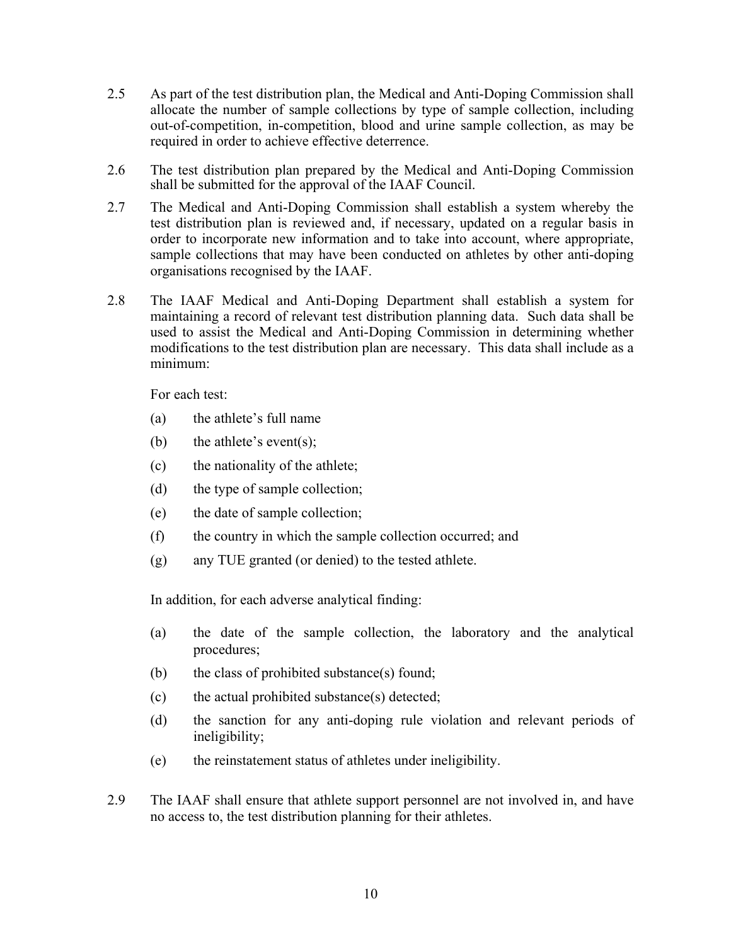- 2.5 As part of the test distribution plan, the Medical and Anti-Doping Commission shall allocate the number of sample collections by type of sample collection, including out-of-competition, in-competition, blood and urine sample collection, as may be required in order to achieve effective deterrence.
- 2.6 The test distribution plan prepared by the Medical and Anti-Doping Commission shall be submitted for the approval of the IAAF Council.
- 2.7 The Medical and Anti-Doping Commission shall establish a system whereby the test distribution plan is reviewed and, if necessary, updated on a regular basis in order to incorporate new information and to take into account, where appropriate, sample collections that may have been conducted on athletes by other anti-doping organisations recognised by the IAAF.
- 2.8 The IAAF Medical and Anti-Doping Department shall establish a system for maintaining a record of relevant test distribution planning data. Such data shall be used to assist the Medical and Anti-Doping Commission in determining whether modifications to the test distribution plan are necessary. This data shall include as a minimum:

For each test:

- (a) the athlete's full name
- (b) the athlete's event(s);
- (c) the nationality of the athlete;
- (d) the type of sample collection;
- (e) the date of sample collection;
- (f) the country in which the sample collection occurred; and
- (g) any TUE granted (or denied) to the tested athlete.

In addition, for each adverse analytical finding:

- (a) the date of the sample collection, the laboratory and the analytical procedures;
- (b) the class of prohibited substance(s) found;
- (c) the actual prohibited substance(s) detected;
- (d) the sanction for any anti-doping rule violation and relevant periods of ineligibility;
- (e) the reinstatement status of athletes under ineligibility.
- 2.9 The IAAF shall ensure that athlete support personnel are not involved in, and have no access to, the test distribution planning for their athletes.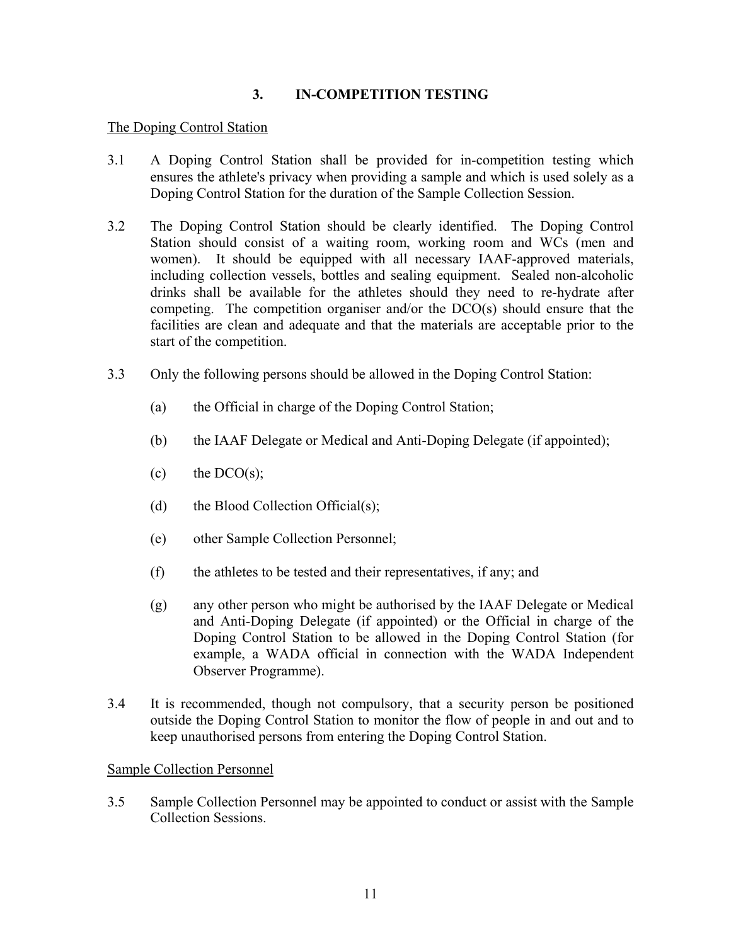## **3. IN-COMPETITION TESTING**

#### The Doping Control Station

- 3.1 A Doping Control Station shall be provided for in-competition testing which ensures the athlete's privacy when providing a sample and which is used solely as a Doping Control Station for the duration of the Sample Collection Session.
- 3.2 The Doping Control Station should be clearly identified. The Doping Control Station should consist of a waiting room, working room and WCs (men and women). It should be equipped with all necessary IAAF-approved materials, including collection vessels, bottles and sealing equipment. Sealed non-alcoholic drinks shall be available for the athletes should they need to re-hydrate after competing. The competition organiser and/or the DCO(s) should ensure that the facilities are clean and adequate and that the materials are acceptable prior to the start of the competition.
- 3.3 Only the following persons should be allowed in the Doping Control Station:
	- (a) the Official in charge of the Doping Control Station;
	- (b) the IAAF Delegate or Medical and Anti-Doping Delegate (if appointed);
	- (c) the  $DCO(s)$ ;
	- (d) the Blood Collection Official(s);
	- (e) other Sample Collection Personnel;
	- (f) the athletes to be tested and their representatives, if any; and
	- (g) any other person who might be authorised by the IAAF Delegate or Medical and Anti-Doping Delegate (if appointed) or the Official in charge of the Doping Control Station to be allowed in the Doping Control Station (for example, a WADA official in connection with the WADA Independent Observer Programme).
- 3.4 It is recommended, though not compulsory, that a security person be positioned outside the Doping Control Station to monitor the flow of people in and out and to keep unauthorised persons from entering the Doping Control Station.

#### Sample Collection Personnel

3.5 Sample Collection Personnel may be appointed to conduct or assist with the Sample Collection Sessions.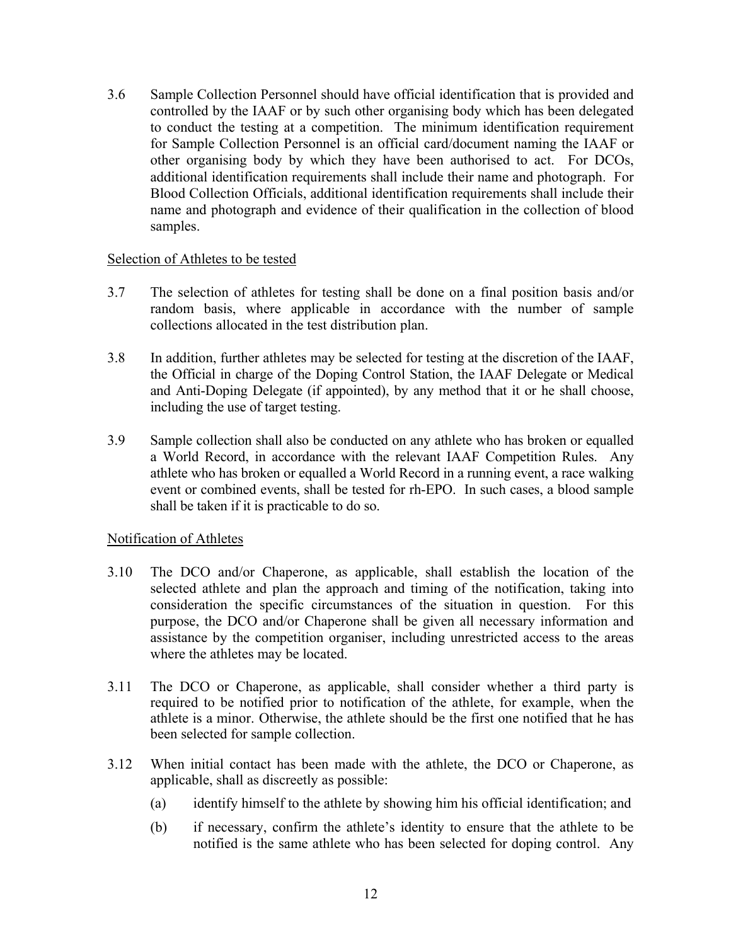3.6 Sample Collection Personnel should have official identification that is provided and controlled by the IAAF or by such other organising body which has been delegated to conduct the testing at a competition. The minimum identification requirement for Sample Collection Personnel is an official card/document naming the IAAF or other organising body by which they have been authorised to act. For DCOs, additional identification requirements shall include their name and photograph. For Blood Collection Officials, additional identification requirements shall include their name and photograph and evidence of their qualification in the collection of blood samples.

#### Selection of Athletes to be tested

- 3.7 The selection of athletes for testing shall be done on a final position basis and/or random basis, where applicable in accordance with the number of sample collections allocated in the test distribution plan.
- 3.8 In addition, further athletes may be selected for testing at the discretion of the IAAF, the Official in charge of the Doping Control Station, the IAAF Delegate or Medical and Anti-Doping Delegate (if appointed), by any method that it or he shall choose, including the use of target testing.
- 3.9 Sample collection shall also be conducted on any athlete who has broken or equalled a World Record, in accordance with the relevant IAAF Competition Rules. Any athlete who has broken or equalled a World Record in a running event, a race walking event or combined events, shall be tested for rh-EPO. In such cases, a blood sample shall be taken if it is practicable to do so.

#### Notification of Athletes

- 3.10 The DCO and/or Chaperone, as applicable, shall establish the location of the selected athlete and plan the approach and timing of the notification, taking into consideration the specific circumstances of the situation in question. For this purpose, the DCO and/or Chaperone shall be given all necessary information and assistance by the competition organiser, including unrestricted access to the areas where the athletes may be located.
- 3.11 The DCO or Chaperone, as applicable, shall consider whether a third party is required to be notified prior to notification of the athlete, for example, when the athlete is a minor. Otherwise, the athlete should be the first one notified that he has been selected for sample collection.
- 3.12 When initial contact has been made with the athlete, the DCO or Chaperone, as applicable, shall as discreetly as possible:
	- (a) identify himself to the athlete by showing him his official identification; and
	- (b) if necessary, confirm the athlete's identity to ensure that the athlete to be notified is the same athlete who has been selected for doping control. Any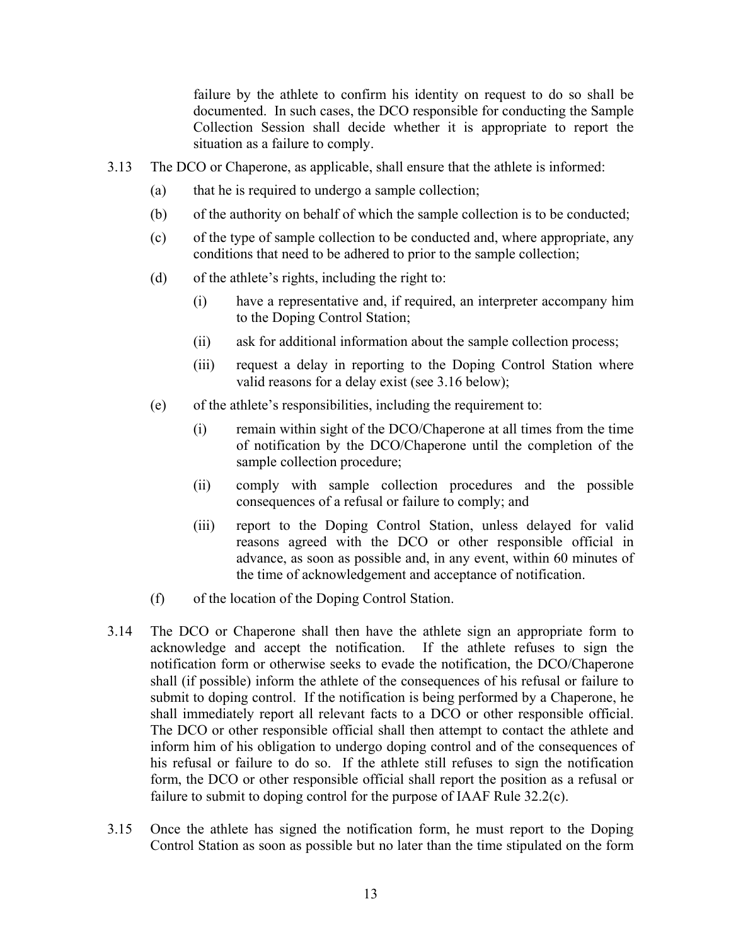failure by the athlete to confirm his identity on request to do so shall be documented. In such cases, the DCO responsible for conducting the Sample Collection Session shall decide whether it is appropriate to report the situation as a failure to comply.

- 3.13 The DCO or Chaperone, as applicable, shall ensure that the athlete is informed:
	- (a) that he is required to undergo a sample collection;
	- (b) of the authority on behalf of which the sample collection is to be conducted;
	- (c) of the type of sample collection to be conducted and, where appropriate, any conditions that need to be adhered to prior to the sample collection;
	- (d) of the athlete's rights, including the right to:
		- (i) have a representative and, if required, an interpreter accompany him to the Doping Control Station;
		- (ii) ask for additional information about the sample collection process;
		- (iii) request a delay in reporting to the Doping Control Station where valid reasons for a delay exist (see 3.16 below);
	- (e) of the athlete's responsibilities, including the requirement to:
		- (i) remain within sight of the DCO/Chaperone at all times from the time of notification by the DCO/Chaperone until the completion of the sample collection procedure;
		- (ii) comply with sample collection procedures and the possible consequences of a refusal or failure to comply; and
		- (iii) report to the Doping Control Station, unless delayed for valid reasons agreed with the DCO or other responsible official in advance, as soon as possible and, in any event, within 60 minutes of the time of acknowledgement and acceptance of notification.
	- (f) of the location of the Doping Control Station.
- 3.14 The DCO or Chaperone shall then have the athlete sign an appropriate form to acknowledge and accept the notification. If the athlete refuses to sign the notification form or otherwise seeks to evade the notification, the DCO/Chaperone shall (if possible) inform the athlete of the consequences of his refusal or failure to submit to doping control. If the notification is being performed by a Chaperone, he shall immediately report all relevant facts to a DCO or other responsible official. The DCO or other responsible official shall then attempt to contact the athlete and inform him of his obligation to undergo doping control and of the consequences of his refusal or failure to do so. If the athlete still refuses to sign the notification form, the DCO or other responsible official shall report the position as a refusal or failure to submit to doping control for the purpose of IAAF Rule 32.2(c).
- 3.15 Once the athlete has signed the notification form, he must report to the Doping Control Station as soon as possible but no later than the time stipulated on the form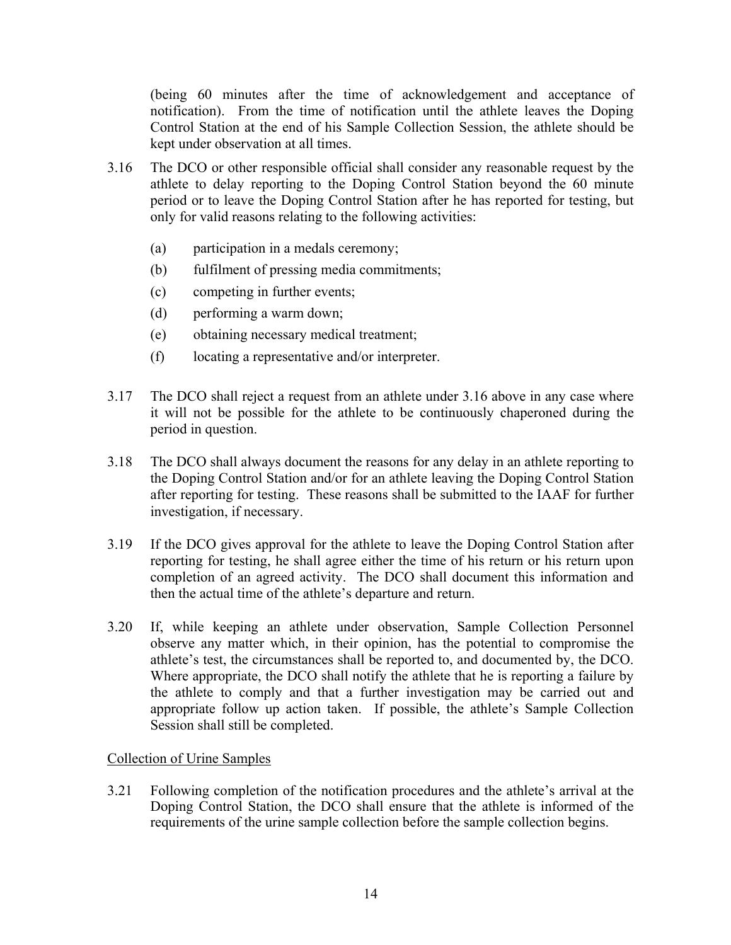(being 60 minutes after the time of acknowledgement and acceptance of notification). From the time of notification until the athlete leaves the Doping Control Station at the end of his Sample Collection Session, the athlete should be kept under observation at all times.

- 3.16 The DCO or other responsible official shall consider any reasonable request by the athlete to delay reporting to the Doping Control Station beyond the 60 minute period or to leave the Doping Control Station after he has reported for testing, but only for valid reasons relating to the following activities:
	- (a) participation in a medals ceremony;
	- (b) fulfilment of pressing media commitments;
	- (c) competing in further events;
	- (d) performing a warm down;
	- (e) obtaining necessary medical treatment;
	- (f) locating a representative and/or interpreter.
- 3.17 The DCO shall reject a request from an athlete under 3.16 above in any case where it will not be possible for the athlete to be continuously chaperoned during the period in question.
- 3.18 The DCO shall always document the reasons for any delay in an athlete reporting to the Doping Control Station and/or for an athlete leaving the Doping Control Station after reporting for testing. These reasons shall be submitted to the IAAF for further investigation, if necessary.
- 3.19 If the DCO gives approval for the athlete to leave the Doping Control Station after reporting for testing, he shall agree either the time of his return or his return upon completion of an agreed activity. The DCO shall document this information and then the actual time of the athlete's departure and return.
- 3.20 If, while keeping an athlete under observation, Sample Collection Personnel observe any matter which, in their opinion, has the potential to compromise the athlete's test, the circumstances shall be reported to, and documented by, the DCO. Where appropriate, the DCO shall notify the athlete that he is reporting a failure by the athlete to comply and that a further investigation may be carried out and appropriate follow up action taken. If possible, the athlete's Sample Collection Session shall still be completed.

## Collection of Urine Samples

3.21 Following completion of the notification procedures and the athlete's arrival at the Doping Control Station, the DCO shall ensure that the athlete is informed of the requirements of the urine sample collection before the sample collection begins.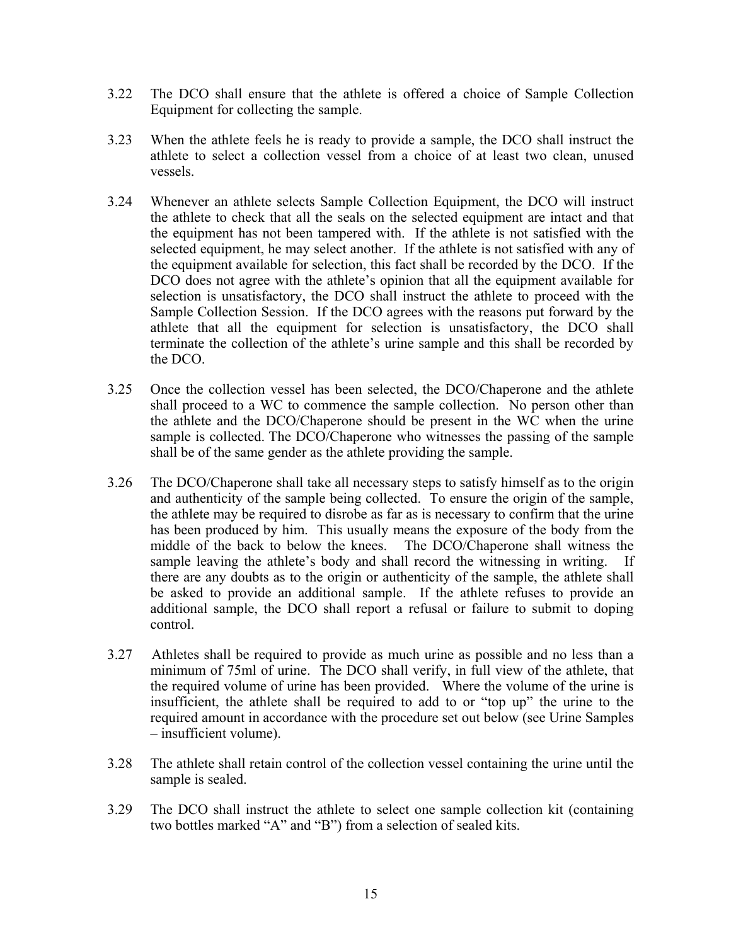- 3.22 The DCO shall ensure that the athlete is offered a choice of Sample Collection Equipment for collecting the sample.
- 3.23 When the athlete feels he is ready to provide a sample, the DCO shall instruct the athlete to select a collection vessel from a choice of at least two clean, unused vessels.
- 3.24 Whenever an athlete selects Sample Collection Equipment, the DCO will instruct the athlete to check that all the seals on the selected equipment are intact and that the equipment has not been tampered with. If the athlete is not satisfied with the selected equipment, he may select another. If the athlete is not satisfied with any of the equipment available for selection, this fact shall be recorded by the DCO. If the DCO does not agree with the athlete's opinion that all the equipment available for selection is unsatisfactory, the DCO shall instruct the athlete to proceed with the Sample Collection Session. If the DCO agrees with the reasons put forward by the athlete that all the equipment for selection is unsatisfactory, the DCO shall terminate the collection of the athlete's urine sample and this shall be recorded by the DCO.
- 3.25 Once the collection vessel has been selected, the DCO/Chaperone and the athlete shall proceed to a WC to commence the sample collection. No person other than the athlete and the DCO/Chaperone should be present in the WC when the urine sample is collected. The DCO/Chaperone who witnesses the passing of the sample shall be of the same gender as the athlete providing the sample.
- 3.26 The DCO/Chaperone shall take all necessary steps to satisfy himself as to the origin and authenticity of the sample being collected. To ensure the origin of the sample, the athlete may be required to disrobe as far as is necessary to confirm that the urine has been produced by him. This usually means the exposure of the body from the middle of the back to below the knees. The DCO/Chaperone shall witness the sample leaving the athlete's body and shall record the witnessing in writing. If there are any doubts as to the origin or authenticity of the sample, the athlete shall be asked to provide an additional sample. If the athlete refuses to provide an additional sample, the DCO shall report a refusal or failure to submit to doping control.
- 3.27 Athletes shall be required to provide as much urine as possible and no less than a minimum of 75ml of urine. The DCO shall verify, in full view of the athlete, that the required volume of urine has been provided. Where the volume of the urine is insufficient, the athlete shall be required to add to or "top up" the urine to the required amount in accordance with the procedure set out below (see Urine Samples – insufficient volume).
- 3.28 The athlete shall retain control of the collection vessel containing the urine until the sample is sealed.
- 3.29 The DCO shall instruct the athlete to select one sample collection kit (containing two bottles marked "A" and "B") from a selection of sealed kits.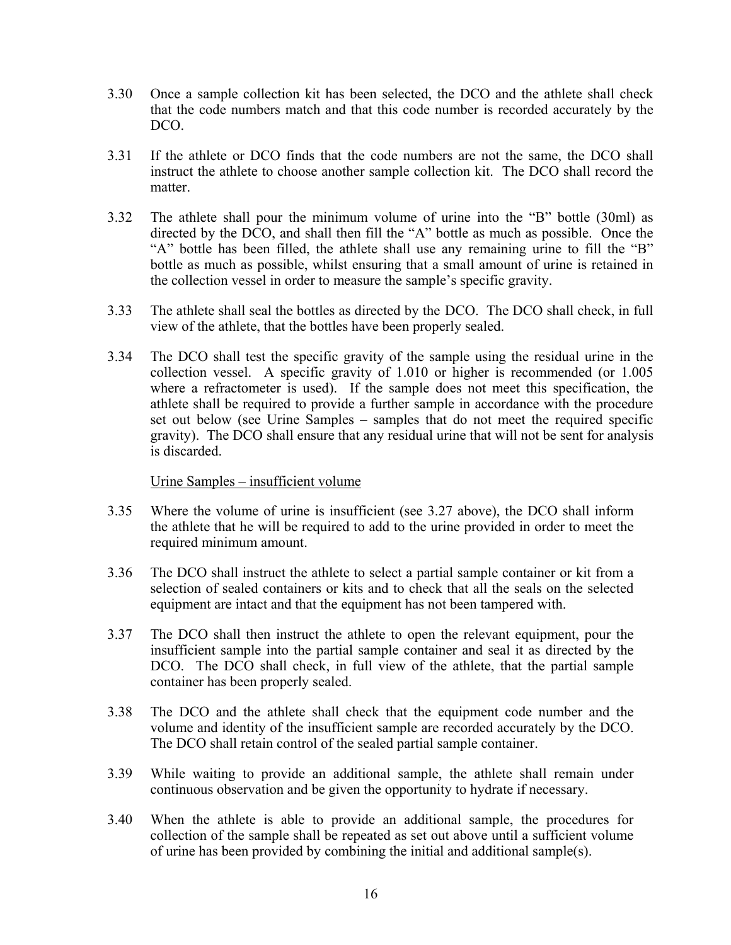- 3.30 Once a sample collection kit has been selected, the DCO and the athlete shall check that the code numbers match and that this code number is recorded accurately by the DCO.
- 3.31 If the athlete or DCO finds that the code numbers are not the same, the DCO shall instruct the athlete to choose another sample collection kit. The DCO shall record the matter.
- 3.32 The athlete shall pour the minimum volume of urine into the "B" bottle (30ml) as directed by the DCO, and shall then fill the "A" bottle as much as possible. Once the "A" bottle has been filled, the athlete shall use any remaining urine to fill the "B" bottle as much as possible, whilst ensuring that a small amount of urine is retained in the collection vessel in order to measure the sample's specific gravity.
- 3.33 The athlete shall seal the bottles as directed by the DCO. The DCO shall check, in full view of the athlete, that the bottles have been properly sealed.
- 3.34 The DCO shall test the specific gravity of the sample using the residual urine in the collection vessel. A specific gravity of 1.010 or higher is recommended (or 1.005 where a refractometer is used). If the sample does not meet this specification, the athlete shall be required to provide a further sample in accordance with the procedure set out below (see Urine Samples – samples that do not meet the required specific gravity). The DCO shall ensure that any residual urine that will not be sent for analysis is discarded.

#### Urine Samples – insufficient volume

- 3.35 Where the volume of urine is insufficient (see 3.27 above), the DCO shall inform the athlete that he will be required to add to the urine provided in order to meet the required minimum amount.
- 3.36 The DCO shall instruct the athlete to select a partial sample container or kit from a selection of sealed containers or kits and to check that all the seals on the selected equipment are intact and that the equipment has not been tampered with.
- 3.37 The DCO shall then instruct the athlete to open the relevant equipment, pour the insufficient sample into the partial sample container and seal it as directed by the DCO. The DCO shall check, in full view of the athlete, that the partial sample container has been properly sealed.
- 3.38 The DCO and the athlete shall check that the equipment code number and the volume and identity of the insufficient sample are recorded accurately by the DCO. The DCO shall retain control of the sealed partial sample container.
- 3.39 While waiting to provide an additional sample, the athlete shall remain under continuous observation and be given the opportunity to hydrate if necessary.
- 3.40 When the athlete is able to provide an additional sample, the procedures for collection of the sample shall be repeated as set out above until a sufficient volume of urine has been provided by combining the initial and additional sample(s).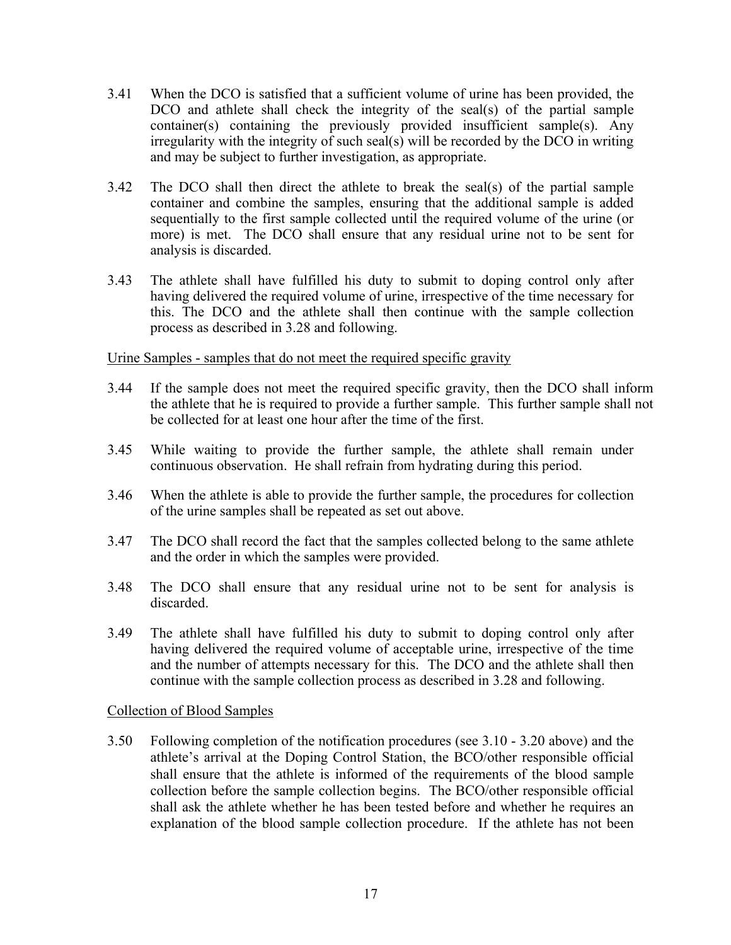- 3.41 When the DCO is satisfied that a sufficient volume of urine has been provided, the DCO and athlete shall check the integrity of the seal(s) of the partial sample container(s) containing the previously provided insufficient sample(s). Any irregularity with the integrity of such seal(s) will be recorded by the DCO in writing and may be subject to further investigation, as appropriate.
- 3.42 The DCO shall then direct the athlete to break the seal(s) of the partial sample container and combine the samples, ensuring that the additional sample is added sequentially to the first sample collected until the required volume of the urine (or more) is met. The DCO shall ensure that any residual urine not to be sent for analysis is discarded.
- 3.43 The athlete shall have fulfilled his duty to submit to doping control only after having delivered the required volume of urine, irrespective of the time necessary for this. The DCO and the athlete shall then continue with the sample collection process as described in 3.28 and following.

Urine Samples - samples that do not meet the required specific gravity

- 3.44 If the sample does not meet the required specific gravity, then the DCO shall inform the athlete that he is required to provide a further sample. This further sample shall not be collected for at least one hour after the time of the first.
- 3.45 While waiting to provide the further sample, the athlete shall remain under continuous observation. He shall refrain from hydrating during this period.
- 3.46 When the athlete is able to provide the further sample, the procedures for collection of the urine samples shall be repeated as set out above.
- 3.47 The DCO shall record the fact that the samples collected belong to the same athlete and the order in which the samples were provided.
- 3.48 The DCO shall ensure that any residual urine not to be sent for analysis is discarded.
- 3.49 The athlete shall have fulfilled his duty to submit to doping control only after having delivered the required volume of acceptable urine, irrespective of the time and the number of attempts necessary for this. The DCO and the athlete shall then continue with the sample collection process as described in 3.28 and following.

#### Collection of Blood Samples

3.50 Following completion of the notification procedures (see 3.10 - 3.20 above) and the athlete's arrival at the Doping Control Station, the BCO/other responsible official shall ensure that the athlete is informed of the requirements of the blood sample collection before the sample collection begins. The BCO/other responsible official shall ask the athlete whether he has been tested before and whether he requires an explanation of the blood sample collection procedure. If the athlete has not been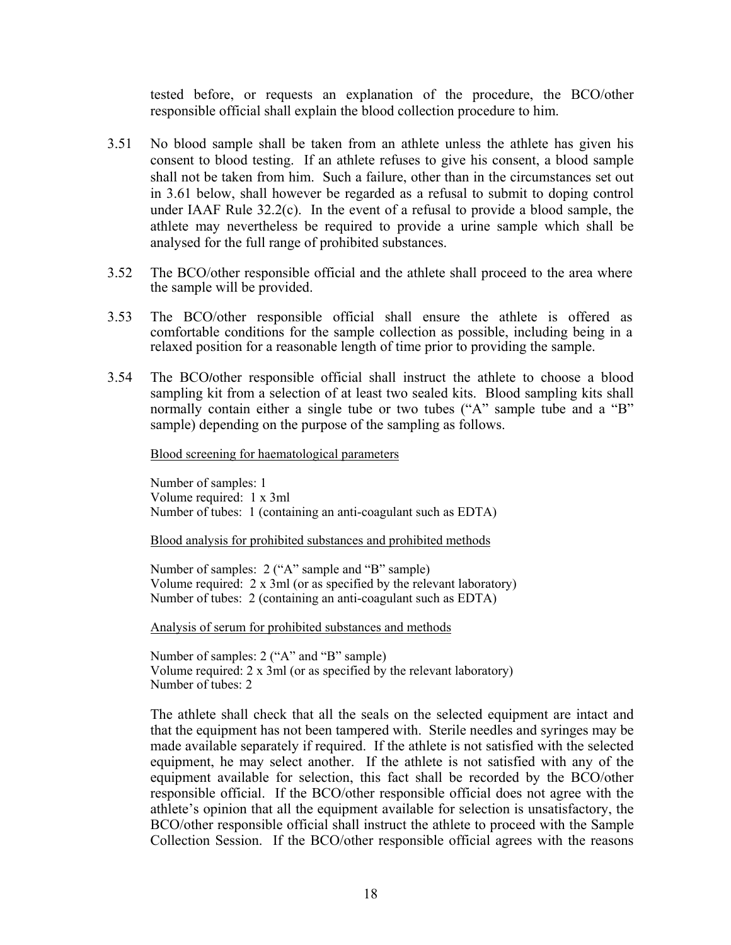tested before, or requests an explanation of the procedure, the BCO/other responsible official shall explain the blood collection procedure to him.

- 3.51 No blood sample shall be taken from an athlete unless the athlete has given his consent to blood testing. If an athlete refuses to give his consent, a blood sample shall not be taken from him. Such a failure, other than in the circumstances set out in 3.61 below, shall however be regarded as a refusal to submit to doping control under IAAF Rule 32.2(c). In the event of a refusal to provide a blood sample, the athlete may nevertheless be required to provide a urine sample which shall be analysed for the full range of prohibited substances.
- 3.52 The BCO/other responsible official and the athlete shall proceed to the area where the sample will be provided.
- 3.53 The BCO/other responsible official shall ensure the athlete is offered as comfortable conditions for the sample collection as possible, including being in a relaxed position for a reasonable length of time prior to providing the sample.
- 3.54 The BCO/other responsible official shall instruct the athlete to choose a blood sampling kit from a selection of at least two sealed kits. Blood sampling kits shall normally contain either a single tube or two tubes ("A" sample tube and a "B" sample) depending on the purpose of the sampling as follows.

#### Blood screening for haematological parameters

 Number of samples: 1 Volume required: 1 x 3ml Number of tubes: 1 (containing an anti-coagulant such as EDTA)

Blood analysis for prohibited substances and prohibited methods

 Number of samples: 2 ("A" sample and "B" sample) Volume required: 2 x 3ml (or as specified by the relevant laboratory) Number of tubes: 2 (containing an anti-coagulant such as EDTA)

Analysis of serum for prohibited substances and methods

Number of samples: 2 ("A" and "B" sample) Volume required: 2 x 3ml (or as specified by the relevant laboratory) Number of tubes: 2

The athlete shall check that all the seals on the selected equipment are intact and that the equipment has not been tampered with. Sterile needles and syringes may be made available separately if required. If the athlete is not satisfied with the selected equipment, he may select another. If the athlete is not satisfied with any of the equipment available for selection, this fact shall be recorded by the BCO/other responsible official. If the BCO/other responsible official does not agree with the athlete's opinion that all the equipment available for selection is unsatisfactory, the BCO/other responsible official shall instruct the athlete to proceed with the Sample Collection Session. If the BCO/other responsible official agrees with the reasons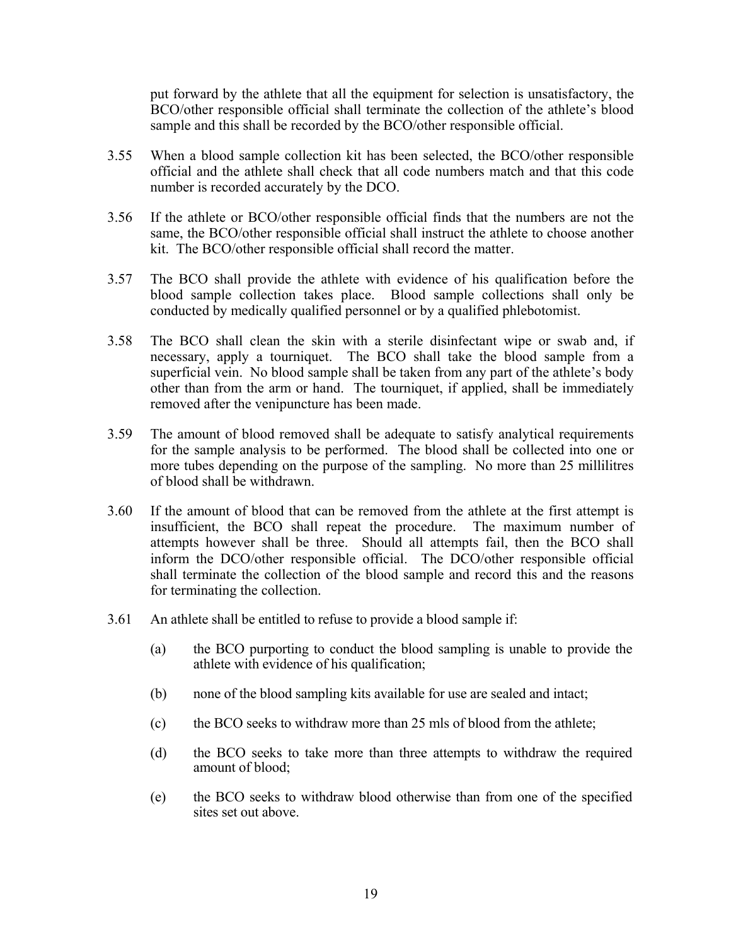put forward by the athlete that all the equipment for selection is unsatisfactory, the BCO/other responsible official shall terminate the collection of the athlete's blood sample and this shall be recorded by the BCO/other responsible official.

- 3.55 When a blood sample collection kit has been selected, the BCO/other responsible official and the athlete shall check that all code numbers match and that this code number is recorded accurately by the DCO.
- 3.56 If the athlete or BCO/other responsible official finds that the numbers are not the same, the BCO/other responsible official shall instruct the athlete to choose another kit. The BCO/other responsible official shall record the matter.
- 3.57 The BCO shall provide the athlete with evidence of his qualification before the blood sample collection takes place. Blood sample collections shall only be conducted by medically qualified personnel or by a qualified phlebotomist.
- 3.58 The BCO shall clean the skin with a sterile disinfectant wipe or swab and, if necessary, apply a tourniquet. The BCO shall take the blood sample from a superficial vein. No blood sample shall be taken from any part of the athlete's body other than from the arm or hand. The tourniquet, if applied, shall be immediately removed after the venipuncture has been made.
- 3.59 The amount of blood removed shall be adequate to satisfy analytical requirements for the sample analysis to be performed. The blood shall be collected into one or more tubes depending on the purpose of the sampling. No more than 25 millilitres of blood shall be withdrawn.
- 3.60 If the amount of blood that can be removed from the athlete at the first attempt is insufficient, the BCO shall repeat the procedure. The maximum number of attempts however shall be three. Should all attempts fail, then the BCO shall inform the DCO/other responsible official. The DCO/other responsible official shall terminate the collection of the blood sample and record this and the reasons for terminating the collection.
- 3.61 An athlete shall be entitled to refuse to provide a blood sample if:
	- (a) the BCO purporting to conduct the blood sampling is unable to provide the athlete with evidence of his qualification;
	- (b) none of the blood sampling kits available for use are sealed and intact;
	- (c) the BCO seeks to withdraw more than 25 mls of blood from the athlete;
	- (d) the BCO seeks to take more than three attempts to withdraw the required amount of blood;
	- (e) the BCO seeks to withdraw blood otherwise than from one of the specified sites set out above.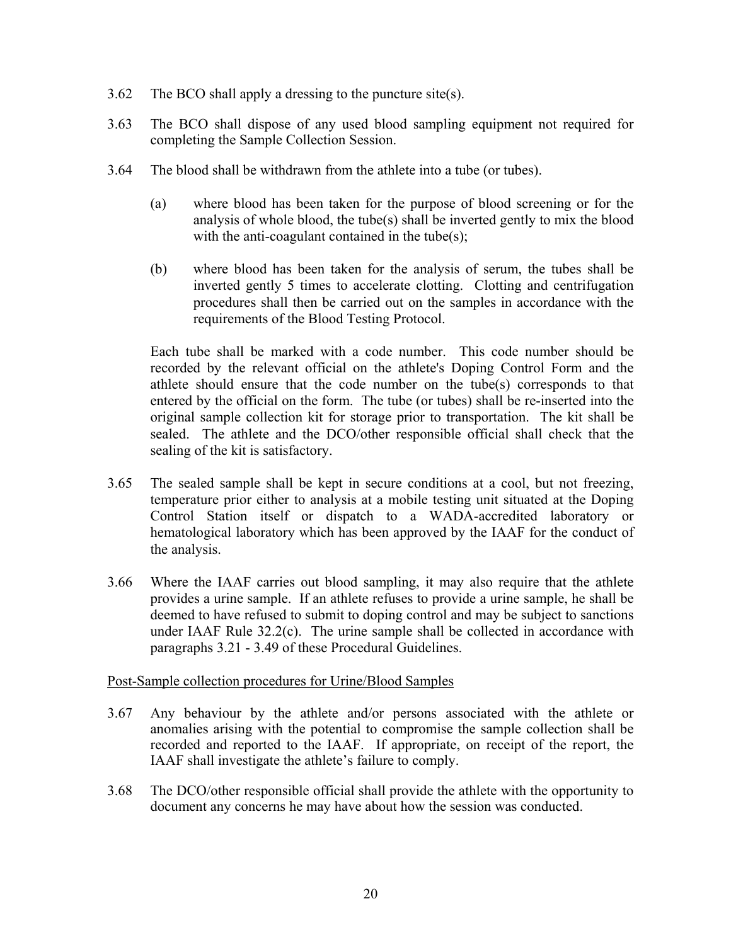- 3.62 The BCO shall apply a dressing to the puncture site(s).
- 3.63 The BCO shall dispose of any used blood sampling equipment not required for completing the Sample Collection Session.
- 3.64 The blood shall be withdrawn from the athlete into a tube (or tubes).
	- (a) where blood has been taken for the purpose of blood screening or for the analysis of whole blood, the tube(s) shall be inverted gently to mix the blood with the anti-coagulant contained in the tube(s);
	- (b) where blood has been taken for the analysis of serum, the tubes shall be inverted gently 5 times to accelerate clotting. Clotting and centrifugation procedures shall then be carried out on the samples in accordance with the requirements of the Blood Testing Protocol.

Each tube shall be marked with a code number. This code number should be recorded by the relevant official on the athlete's Doping Control Form and the athlete should ensure that the code number on the tube(s) corresponds to that entered by the official on the form. The tube (or tubes) shall be re-inserted into the original sample collection kit for storage prior to transportation. The kit shall be sealed. The athlete and the DCO/other responsible official shall check that the sealing of the kit is satisfactory.

- 3.65 The sealed sample shall be kept in secure conditions at a cool, but not freezing, temperature prior either to analysis at a mobile testing unit situated at the Doping Control Station itself or dispatch to a WADA-accredited laboratory or hematological laboratory which has been approved by the IAAF for the conduct of the analysis.
- 3.66 Where the IAAF carries out blood sampling, it may also require that the athlete provides a urine sample. If an athlete refuses to provide a urine sample, he shall be deemed to have refused to submit to doping control and may be subject to sanctions under IAAF Rule 32.2(c). The urine sample shall be collected in accordance with paragraphs 3.21 - 3.49 of these Procedural Guidelines.

#### Post-Sample collection procedures for Urine/Blood Samples

- 3.67 Any behaviour by the athlete and/or persons associated with the athlete or anomalies arising with the potential to compromise the sample collection shall be recorded and reported to the IAAF. If appropriate, on receipt of the report, the IAAF shall investigate the athlete's failure to comply.
- 3.68 The DCO/other responsible official shall provide the athlete with the opportunity to document any concerns he may have about how the session was conducted.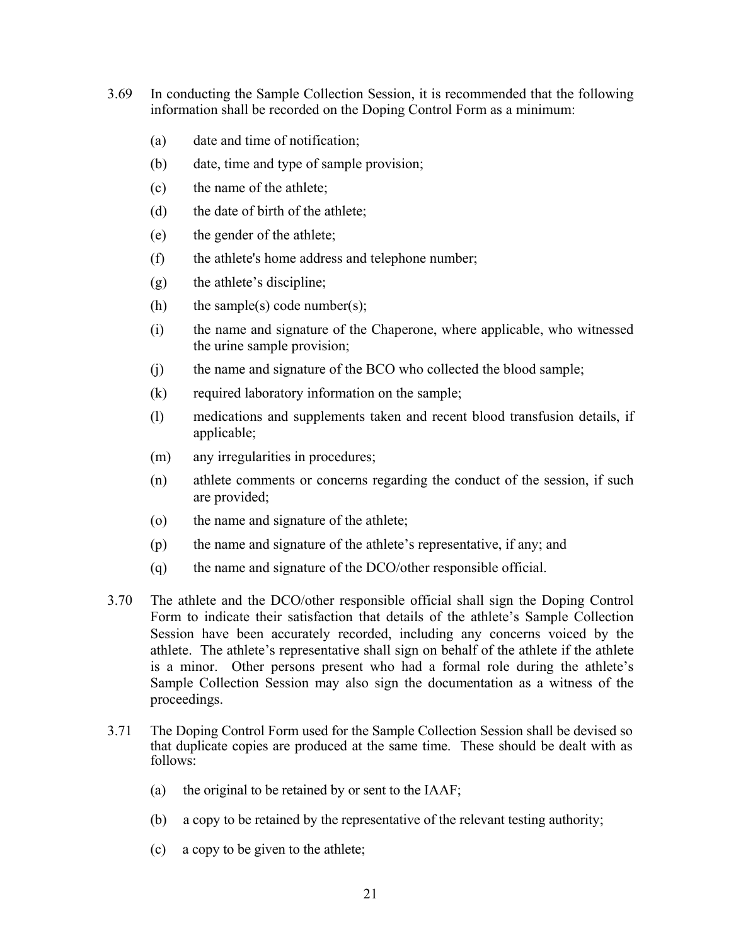- 3.69 In conducting the Sample Collection Session, it is recommended that the following information shall be recorded on the Doping Control Form as a minimum:
	- (a) date and time of notification;
	- (b) date, time and type of sample provision;
	- (c) the name of the athlete;
	- (d) the date of birth of the athlete;
	- (e) the gender of the athlete;
	- (f) the athlete's home address and telephone number;
	- (g) the athlete's discipline;
	- (h) the sample(s) code number(s);
	- (i) the name and signature of the Chaperone, where applicable, who witnessed the urine sample provision;
	- (j) the name and signature of the BCO who collected the blood sample;
	- (k) required laboratory information on the sample;
	- (l) medications and supplements taken and recent blood transfusion details, if applicable;
	- (m) any irregularities in procedures;
	- (n) athlete comments or concerns regarding the conduct of the session, if such are provided;
	- (o) the name and signature of the athlete;
	- (p) the name and signature of the athlete's representative, if any; and
	- (q) the name and signature of the DCO/other responsible official.
- 3.70 The athlete and the DCO/other responsible official shall sign the Doping Control Form to indicate their satisfaction that details of the athlete's Sample Collection Session have been accurately recorded, including any concerns voiced by the athlete. The athlete's representative shall sign on behalf of the athlete if the athlete is a minor. Other persons present who had a formal role during the athlete's Sample Collection Session may also sign the documentation as a witness of the proceedings.
- 3.71 The Doping Control Form used for the Sample Collection Session shall be devised so that duplicate copies are produced at the same time. These should be dealt with as follows:
	- (a) the original to be retained by or sent to the IAAF;
	- (b) a copy to be retained by the representative of the relevant testing authority;
	- (c) a copy to be given to the athlete;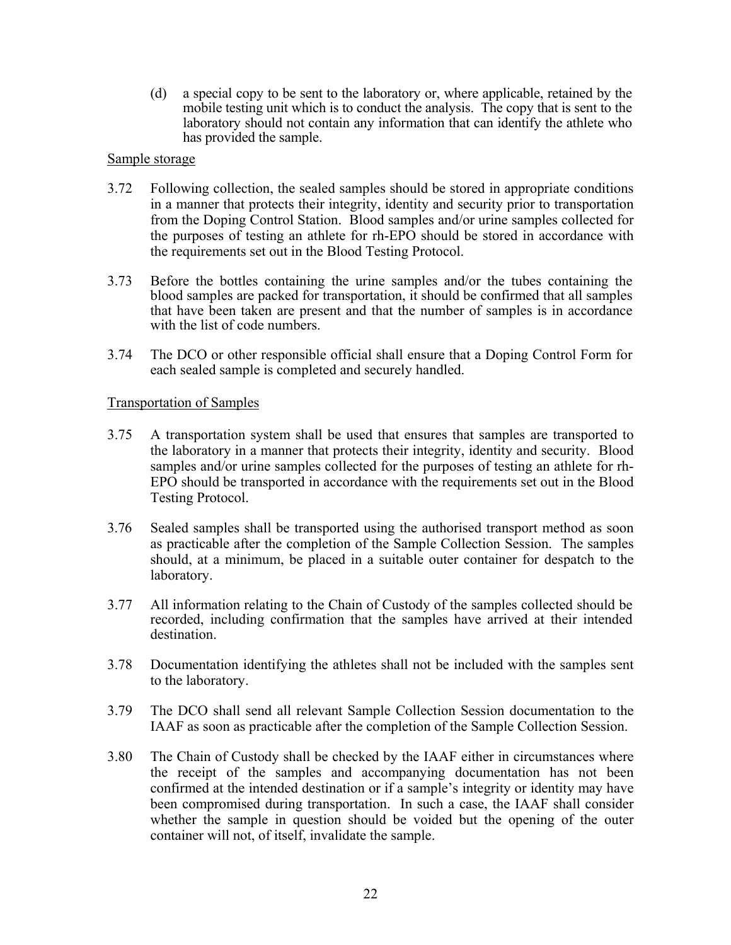(d) a special copy to be sent to the laboratory or, where applicable, retained by the mobile testing unit which is to conduct the analysis. The copy that is sent to the laboratory should not contain any information that can identify the athlete who has provided the sample.

#### Sample storage

- 3.72 Following collection, the sealed samples should be stored in appropriate conditions in a manner that protects their integrity, identity and security prior to transportation from the Doping Control Station. Blood samples and/or urine samples collected for the purposes of testing an athlete for rh-EPO should be stored in accordance with the requirements set out in the Blood Testing Protocol.
- 3.73 Before the bottles containing the urine samples and/or the tubes containing the blood samples are packed for transportation, it should be confirmed that all samples that have been taken are present and that the number of samples is in accordance with the list of code numbers.
- 3.74 The DCO or other responsible official shall ensure that a Doping Control Form for each sealed sample is completed and securely handled.

#### Transportation of Samples

- 3.75 A transportation system shall be used that ensures that samples are transported to the laboratory in a manner that protects their integrity, identity and security. Blood samples and/or urine samples collected for the purposes of testing an athlete for rh-EPO should be transported in accordance with the requirements set out in the Blood Testing Protocol.
- 3.76 Sealed samples shall be transported using the authorised transport method as soon as practicable after the completion of the Sample Collection Session. The samples should, at a minimum, be placed in a suitable outer container for despatch to the laboratory.
- 3.77 All information relating to the Chain of Custody of the samples collected should be recorded, including confirmation that the samples have arrived at their intended destination.
- 3.78 Documentation identifying the athletes shall not be included with the samples sent to the laboratory.
- 3.79 The DCO shall send all relevant Sample Collection Session documentation to the IAAF as soon as practicable after the completion of the Sample Collection Session.
- 3.80 The Chain of Custody shall be checked by the IAAF either in circumstances where the receipt of the samples and accompanying documentation has not been confirmed at the intended destination or if a sample's integrity or identity may have been compromised during transportation. In such a case, the IAAF shall consider whether the sample in question should be voided but the opening of the outer container will not, of itself, invalidate the sample.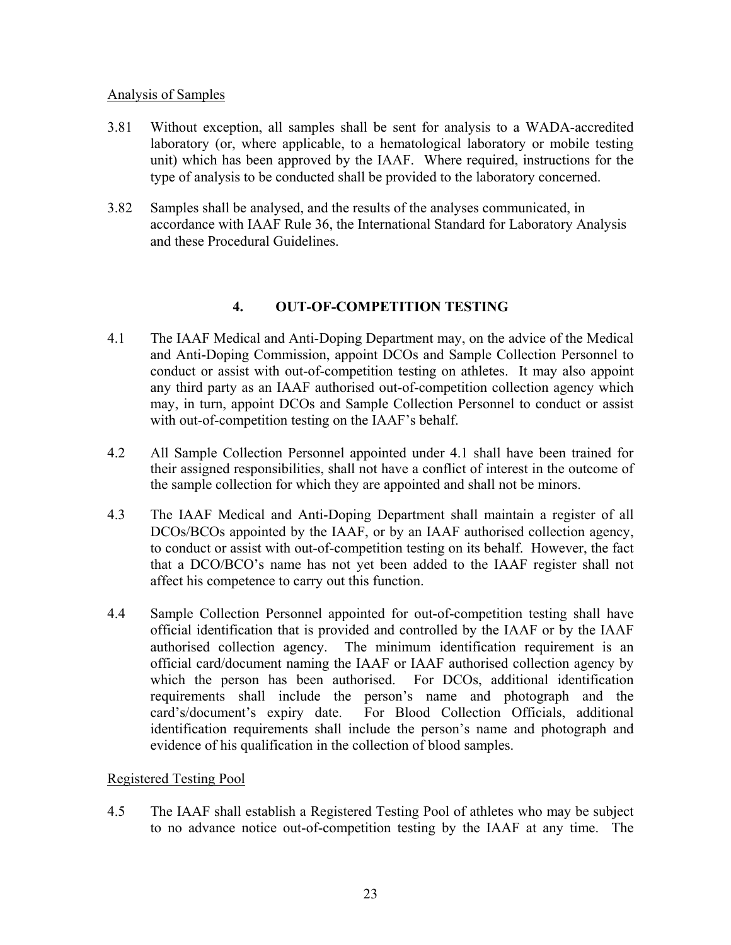#### Analysis of Samples

- 3.81 Without exception, all samples shall be sent for analysis to a WADA-accredited laboratory (or, where applicable, to a hematological laboratory or mobile testing unit) which has been approved by the IAAF. Where required, instructions for the type of analysis to be conducted shall be provided to the laboratory concerned.
- 3.82 Samples shall be analysed, and the results of the analyses communicated, in accordance with IAAF Rule 36, the International Standard for Laboratory Analysis and these Procedural Guidelines.

## **4. OUT-OF-COMPETITION TESTING**

- 4.1 The IAAF Medical and Anti-Doping Department may, on the advice of the Medical and Anti-Doping Commission, appoint DCOs and Sample Collection Personnel to conduct or assist with out-of-competition testing on athletes. It may also appoint any third party as an IAAF authorised out-of-competition collection agency which may, in turn, appoint DCOs and Sample Collection Personnel to conduct or assist with out-of-competition testing on the IAAF's behalf.
- 4.2 All Sample Collection Personnel appointed under 4.1 shall have been trained for their assigned responsibilities, shall not have a conflict of interest in the outcome of the sample collection for which they are appointed and shall not be minors.
- 4.3 The IAAF Medical and Anti-Doping Department shall maintain a register of all DCOs/BCOs appointed by the IAAF, or by an IAAF authorised collection agency, to conduct or assist with out-of-competition testing on its behalf. However, the fact that a DCO/BCO's name has not yet been added to the IAAF register shall not affect his competence to carry out this function.
- 4.4 Sample Collection Personnel appointed for out-of-competition testing shall have official identification that is provided and controlled by the IAAF or by the IAAF authorised collection agency. The minimum identification requirement is an official card/document naming the IAAF or IAAF authorised collection agency by which the person has been authorised. For DCOs, additional identification requirements shall include the person's name and photograph and the card's/document's expiry date. For Blood Collection Officials, additional identification requirements shall include the person's name and photograph and evidence of his qualification in the collection of blood samples.

## Registered Testing Pool

4.5 The IAAF shall establish a Registered Testing Pool of athletes who may be subject to no advance notice out-of-competition testing by the IAAF at any time. The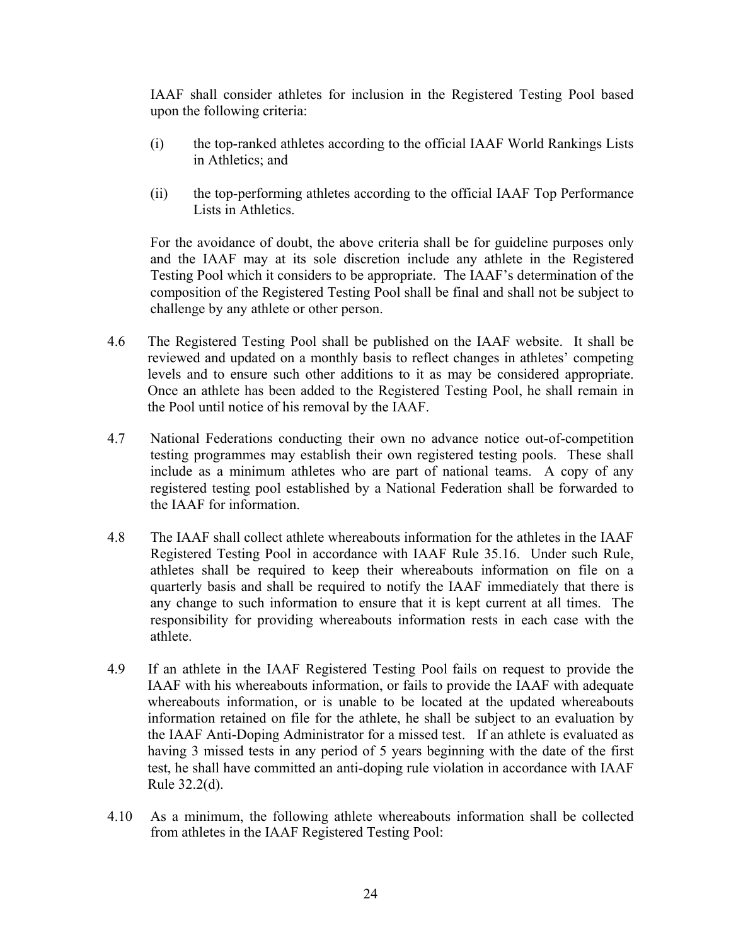IAAF shall consider athletes for inclusion in the Registered Testing Pool based upon the following criteria:

- (i) the top-ranked athletes according to the official IAAF World Rankings Lists in Athletics; and
- (ii) the top-performing athletes according to the official IAAF Top Performance Lists in Athletics.

For the avoidance of doubt, the above criteria shall be for guideline purposes only and the IAAF may at its sole discretion include any athlete in the Registered Testing Pool which it considers to be appropriate. The IAAF's determination of the composition of the Registered Testing Pool shall be final and shall not be subject to challenge by any athlete or other person.

- 4.6 The Registered Testing Pool shall be published on the IAAF website. It shall be reviewed and updated on a monthly basis to reflect changes in athletes' competing levels and to ensure such other additions to it as may be considered appropriate. Once an athlete has been added to the Registered Testing Pool, he shall remain in the Pool until notice of his removal by the IAAF.
- 4.7 National Federations conducting their own no advance notice out-of-competition testing programmes may establish their own registered testing pools. These shall include as a minimum athletes who are part of national teams. A copy of any registered testing pool established by a National Federation shall be forwarded to the IAAF for information.
- 4.8 The IAAF shall collect athlete whereabouts information for the athletes in the IAAF Registered Testing Pool in accordance with IAAF Rule 35.16. Under such Rule, athletes shall be required to keep their whereabouts information on file on a quarterly basis and shall be required to notify the IAAF immediately that there is any change to such information to ensure that it is kept current at all times. The responsibility for providing whereabouts information rests in each case with the athlete.
- 4.9 If an athlete in the IAAF Registered Testing Pool fails on request to provide the IAAF with his whereabouts information, or fails to provide the IAAF with adequate whereabouts information, or is unable to be located at the updated whereabouts information retained on file for the athlete, he shall be subject to an evaluation by the IAAF Anti-Doping Administrator for a missed test. If an athlete is evaluated as having 3 missed tests in any period of 5 years beginning with the date of the first test, he shall have committed an anti-doping rule violation in accordance with IAAF Rule 32.2(d).
- 4.10 As a minimum, the following athlete whereabouts information shall be collected from athletes in the IAAF Registered Testing Pool: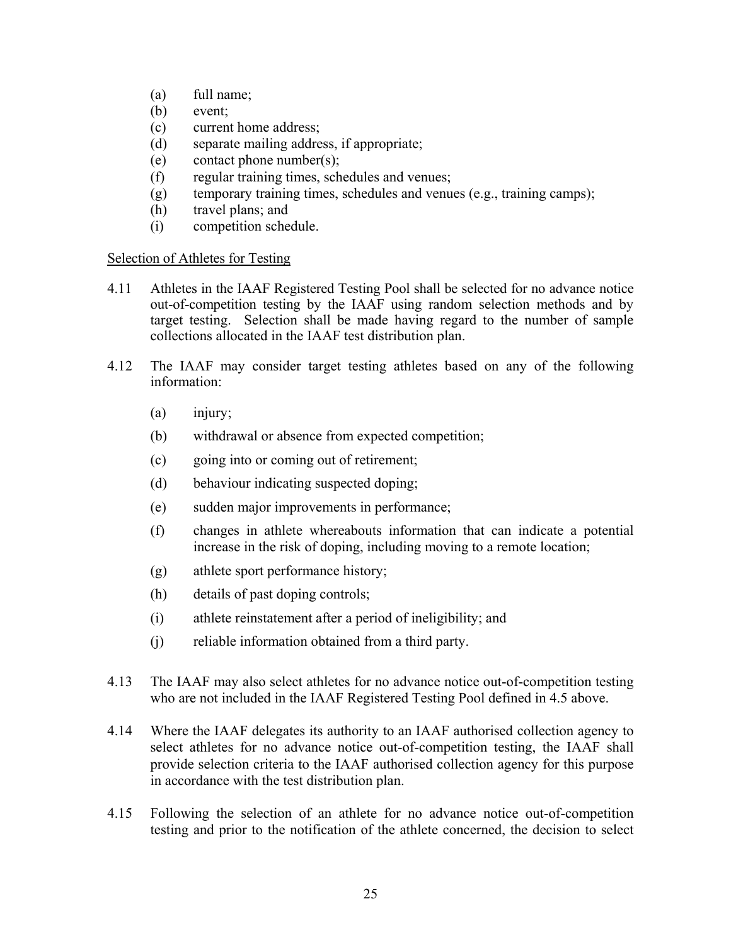- (a) full name;
- (b) event;
- (c) current home address;
- (d) separate mailing address, if appropriate;
- (e) contact phone number(s);
- (f) regular training times, schedules and venues;
- (g) temporary training times, schedules and venues (e.g., training camps);
- (h) travel plans; and
- (i) competition schedule.

#### Selection of Athletes for Testing

- 4.11 Athletes in the IAAF Registered Testing Pool shall be selected for no advance notice out-of-competition testing by the IAAF using random selection methods and by target testing. Selection shall be made having regard to the number of sample collections allocated in the IAAF test distribution plan.
- 4.12 The IAAF may consider target testing athletes based on any of the following information:
	- (a) injury;
	- (b) withdrawal or absence from expected competition;
	- (c) going into or coming out of retirement;
	- (d) behaviour indicating suspected doping;
	- (e) sudden major improvements in performance;
	- (f) changes in athlete whereabouts information that can indicate a potential increase in the risk of doping, including moving to a remote location;
	- (g) athlete sport performance history;
	- (h) details of past doping controls;
	- (i) athlete reinstatement after a period of ineligibility; and
	- (j) reliable information obtained from a third party.
- 4.13 The IAAF may also select athletes for no advance notice out-of-competition testing who are not included in the IAAF Registered Testing Pool defined in 4.5 above.
- 4.14 Where the IAAF delegates its authority to an IAAF authorised collection agency to select athletes for no advance notice out-of-competition testing, the IAAF shall provide selection criteria to the IAAF authorised collection agency for this purpose in accordance with the test distribution plan.
- 4.15 Following the selection of an athlete for no advance notice out-of-competition testing and prior to the notification of the athlete concerned, the decision to select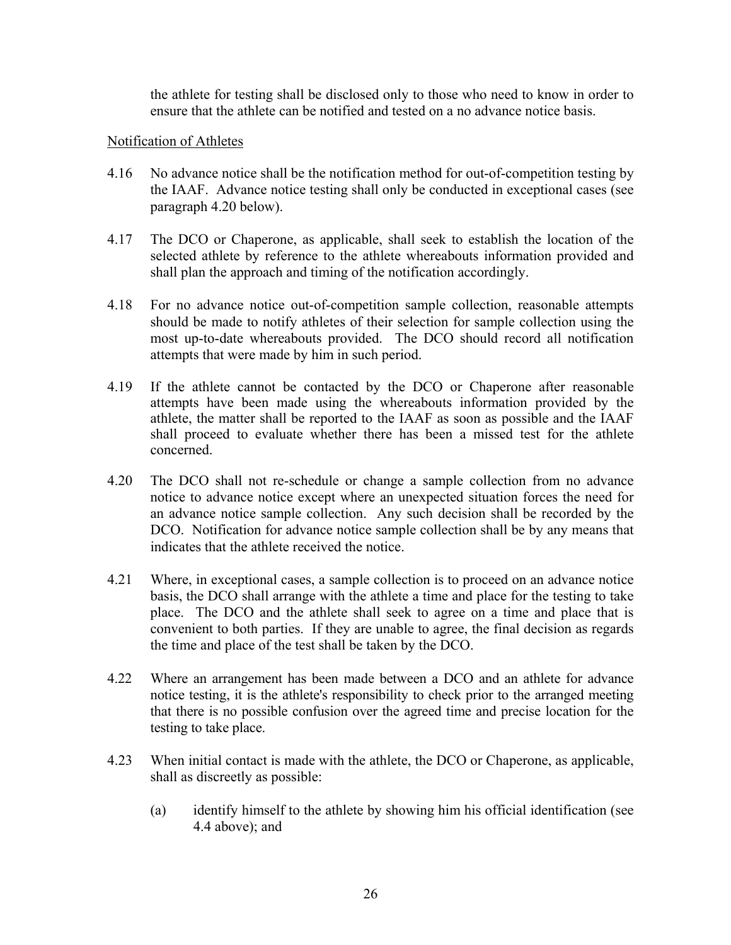the athlete for testing shall be disclosed only to those who need to know in order to ensure that the athlete can be notified and tested on a no advance notice basis.

#### Notification of Athletes

- 4.16 No advance notice shall be the notification method for out-of-competition testing by the IAAF. Advance notice testing shall only be conducted in exceptional cases (see paragraph 4.20 below).
- 4.17 The DCO or Chaperone, as applicable, shall seek to establish the location of the selected athlete by reference to the athlete whereabouts information provided and shall plan the approach and timing of the notification accordingly.
- 4.18 For no advance notice out-of-competition sample collection, reasonable attempts should be made to notify athletes of their selection for sample collection using the most up-to-date whereabouts provided. The DCO should record all notification attempts that were made by him in such period.
- 4.19 If the athlete cannot be contacted by the DCO or Chaperone after reasonable attempts have been made using the whereabouts information provided by the athlete, the matter shall be reported to the IAAF as soon as possible and the IAAF shall proceed to evaluate whether there has been a missed test for the athlete concerned.
- 4.20 The DCO shall not re-schedule or change a sample collection from no advance notice to advance notice except where an unexpected situation forces the need for an advance notice sample collection. Any such decision shall be recorded by the DCO. Notification for advance notice sample collection shall be by any means that indicates that the athlete received the notice.
- 4.21 Where, in exceptional cases, a sample collection is to proceed on an advance notice basis, the DCO shall arrange with the athlete a time and place for the testing to take place. The DCO and the athlete shall seek to agree on a time and place that is convenient to both parties. If they are unable to agree, the final decision as regards the time and place of the test shall be taken by the DCO.
- 4.22 Where an arrangement has been made between a DCO and an athlete for advance notice testing, it is the athlete's responsibility to check prior to the arranged meeting that there is no possible confusion over the agreed time and precise location for the testing to take place.
- 4.23 When initial contact is made with the athlete, the DCO or Chaperone, as applicable, shall as discreetly as possible:
	- (a) identify himself to the athlete by showing him his official identification (see 4.4 above); and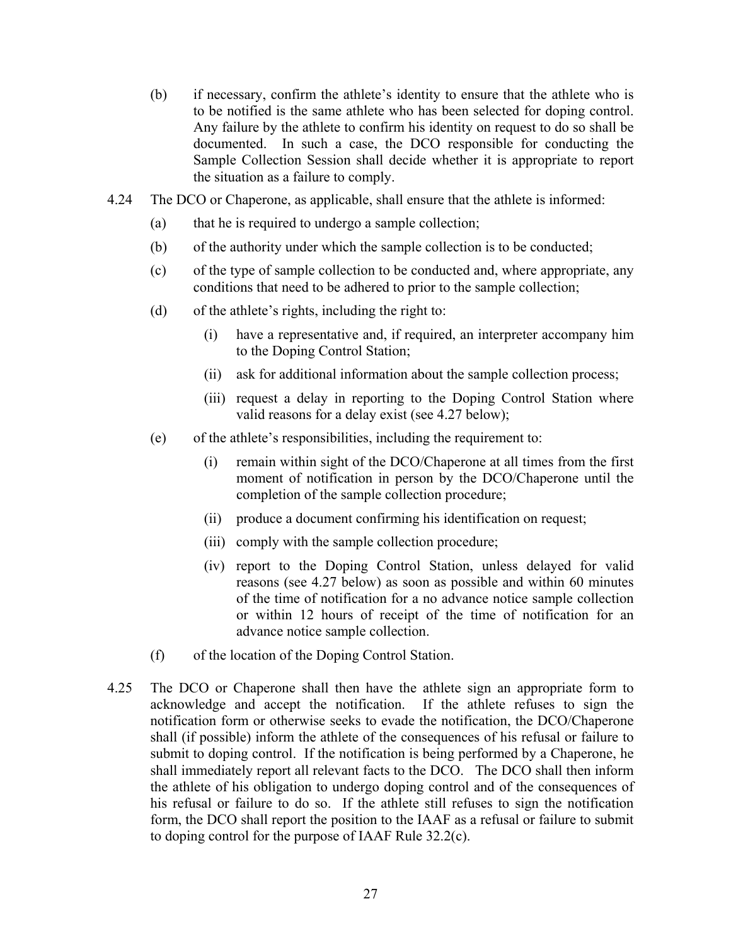- (b) if necessary, confirm the athlete's identity to ensure that the athlete who is to be notified is the same athlete who has been selected for doping control. Any failure by the athlete to confirm his identity on request to do so shall be documented. In such a case, the DCO responsible for conducting the Sample Collection Session shall decide whether it is appropriate to report the situation as a failure to comply.
- 4.24 The DCO or Chaperone, as applicable, shall ensure that the athlete is informed:
	- (a) that he is required to undergo a sample collection;
	- (b) of the authority under which the sample collection is to be conducted;
	- (c) of the type of sample collection to be conducted and, where appropriate, any conditions that need to be adhered to prior to the sample collection;
	- (d) of the athlete's rights, including the right to:
		- (i) have a representative and, if required, an interpreter accompany him to the Doping Control Station;
		- (ii) ask for additional information about the sample collection process;
		- (iii) request a delay in reporting to the Doping Control Station where valid reasons for a delay exist (see 4.27 below);
	- (e) of the athlete's responsibilities, including the requirement to:
		- (i) remain within sight of the DCO/Chaperone at all times from the first moment of notification in person by the DCO/Chaperone until the completion of the sample collection procedure;
		- (ii) produce a document confirming his identification on request;
		- (iii) comply with the sample collection procedure;
		- (iv) report to the Doping Control Station, unless delayed for valid reasons (see 4.27 below) as soon as possible and within 60 minutes of the time of notification for a no advance notice sample collection or within 12 hours of receipt of the time of notification for an advance notice sample collection.
	- (f) of the location of the Doping Control Station.
- 4.25 The DCO or Chaperone shall then have the athlete sign an appropriate form to acknowledge and accept the notification. If the athlete refuses to sign the notification form or otherwise seeks to evade the notification, the DCO/Chaperone shall (if possible) inform the athlete of the consequences of his refusal or failure to submit to doping control. If the notification is being performed by a Chaperone, he shall immediately report all relevant facts to the DCO. The DCO shall then inform the athlete of his obligation to undergo doping control and of the consequences of his refusal or failure to do so. If the athlete still refuses to sign the notification form, the DCO shall report the position to the IAAF as a refusal or failure to submit to doping control for the purpose of IAAF Rule 32.2(c).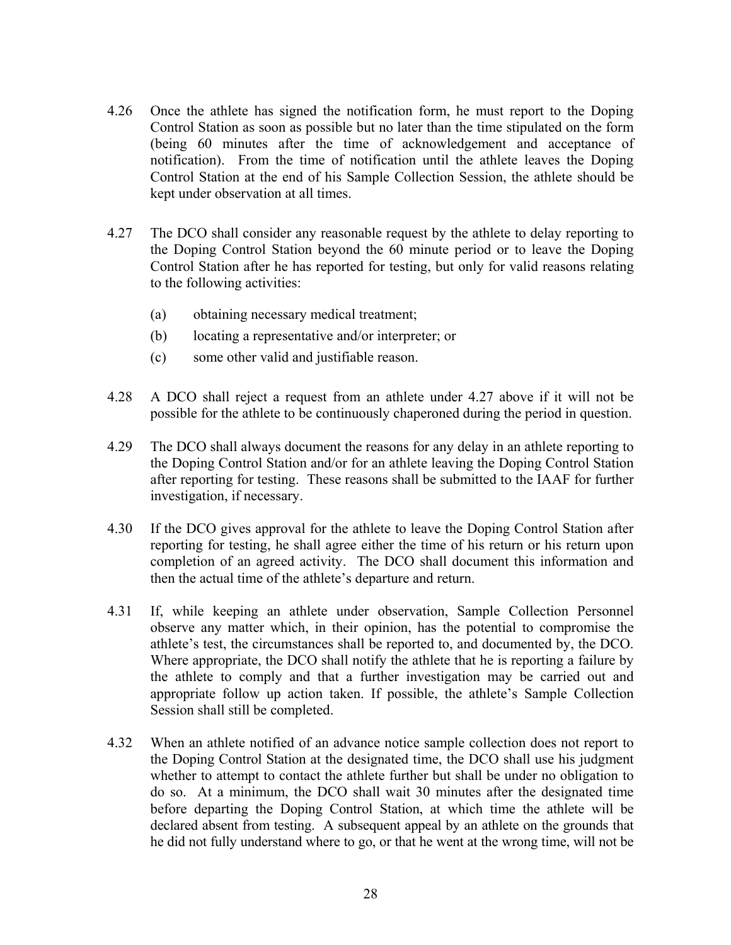- 4.26 Once the athlete has signed the notification form, he must report to the Doping Control Station as soon as possible but no later than the time stipulated on the form (being 60 minutes after the time of acknowledgement and acceptance of notification). From the time of notification until the athlete leaves the Doping Control Station at the end of his Sample Collection Session, the athlete should be kept under observation at all times.
- 4.27 The DCO shall consider any reasonable request by the athlete to delay reporting to the Doping Control Station beyond the 60 minute period or to leave the Doping Control Station after he has reported for testing, but only for valid reasons relating to the following activities:
	- (a) obtaining necessary medical treatment;
	- (b) locating a representative and/or interpreter; or
	- (c) some other valid and justifiable reason.
- 4.28 A DCO shall reject a request from an athlete under 4.27 above if it will not be possible for the athlete to be continuously chaperoned during the period in question.
- 4.29 The DCO shall always document the reasons for any delay in an athlete reporting to the Doping Control Station and/or for an athlete leaving the Doping Control Station after reporting for testing. These reasons shall be submitted to the IAAF for further investigation, if necessary.
- 4.30 If the DCO gives approval for the athlete to leave the Doping Control Station after reporting for testing, he shall agree either the time of his return or his return upon completion of an agreed activity. The DCO shall document this information and then the actual time of the athlete's departure and return.
- 4.31 If, while keeping an athlete under observation, Sample Collection Personnel observe any matter which, in their opinion, has the potential to compromise the athlete's test, the circumstances shall be reported to, and documented by, the DCO. Where appropriate, the DCO shall notify the athlete that he is reporting a failure by the athlete to comply and that a further investigation may be carried out and appropriate follow up action taken. If possible, the athlete's Sample Collection Session shall still be completed.
- 4.32 When an athlete notified of an advance notice sample collection does not report to the Doping Control Station at the designated time, the DCO shall use his judgment whether to attempt to contact the athlete further but shall be under no obligation to do so. At a minimum, the DCO shall wait 30 minutes after the designated time before departing the Doping Control Station, at which time the athlete will be declared absent from testing. A subsequent appeal by an athlete on the grounds that he did not fully understand where to go, or that he went at the wrong time, will not be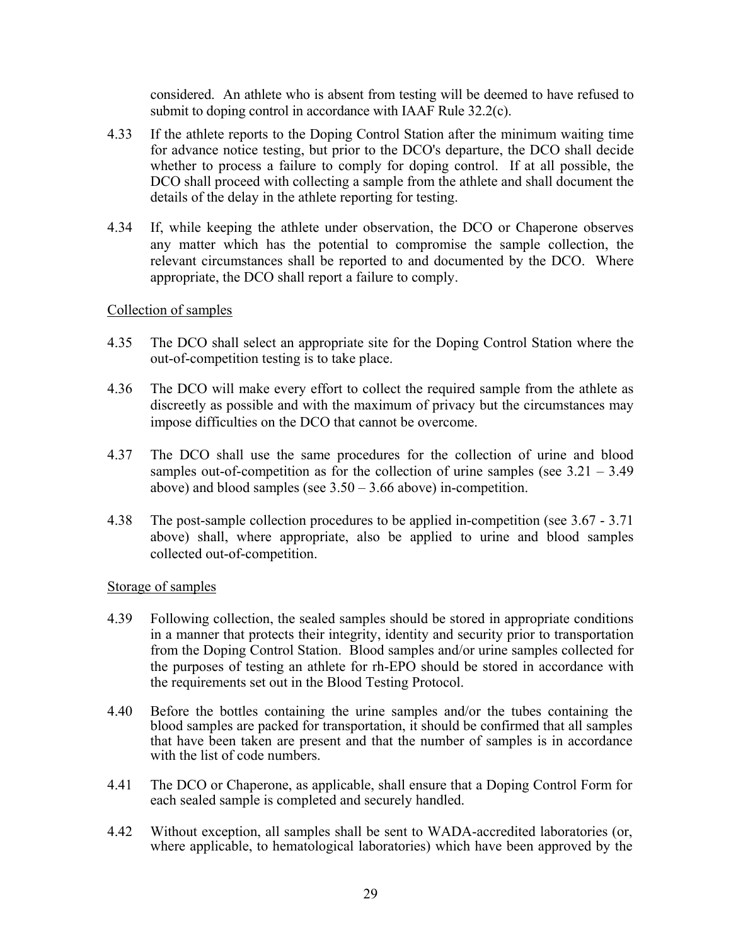considered. An athlete who is absent from testing will be deemed to have refused to submit to doping control in accordance with IAAF Rule 32.2(c).

- 4.33 If the athlete reports to the Doping Control Station after the minimum waiting time for advance notice testing, but prior to the DCO's departure, the DCO shall decide whether to process a failure to comply for doping control. If at all possible, the DCO shall proceed with collecting a sample from the athlete and shall document the details of the delay in the athlete reporting for testing.
- 4.34 If, while keeping the athlete under observation, the DCO or Chaperone observes any matter which has the potential to compromise the sample collection, the relevant circumstances shall be reported to and documented by the DCO. Where appropriate, the DCO shall report a failure to comply.

#### Collection of samples

- 4.35 The DCO shall select an appropriate site for the Doping Control Station where the out-of-competition testing is to take place.
- 4.36 The DCO will make every effort to collect the required sample from the athlete as discreetly as possible and with the maximum of privacy but the circumstances may impose difficulties on the DCO that cannot be overcome.
- 4.37 The DCO shall use the same procedures for the collection of urine and blood samples out-of-competition as for the collection of urine samples (see 3.21 – 3.49 above) and blood samples (see  $3.50 - 3.66$  above) in-competition.
- 4.38 The post-sample collection procedures to be applied in-competition (see 3.67 3.71 above) shall, where appropriate, also be applied to urine and blood samples collected out-of-competition.

#### Storage of samples

- 4.39 Following collection, the sealed samples should be stored in appropriate conditions in a manner that protects their integrity, identity and security prior to transportation from the Doping Control Station. Blood samples and/or urine samples collected for the purposes of testing an athlete for rh-EPO should be stored in accordance with the requirements set out in the Blood Testing Protocol.
- 4.40 Before the bottles containing the urine samples and/or the tubes containing the blood samples are packed for transportation, it should be confirmed that all samples that have been taken are present and that the number of samples is in accordance with the list of code numbers.
- 4.41 The DCO or Chaperone, as applicable, shall ensure that a Doping Control Form for each sealed sample is completed and securely handled.
- 4.42 Without exception, all samples shall be sent to WADA-accredited laboratories (or, where applicable, to hematological laboratories) which have been approved by the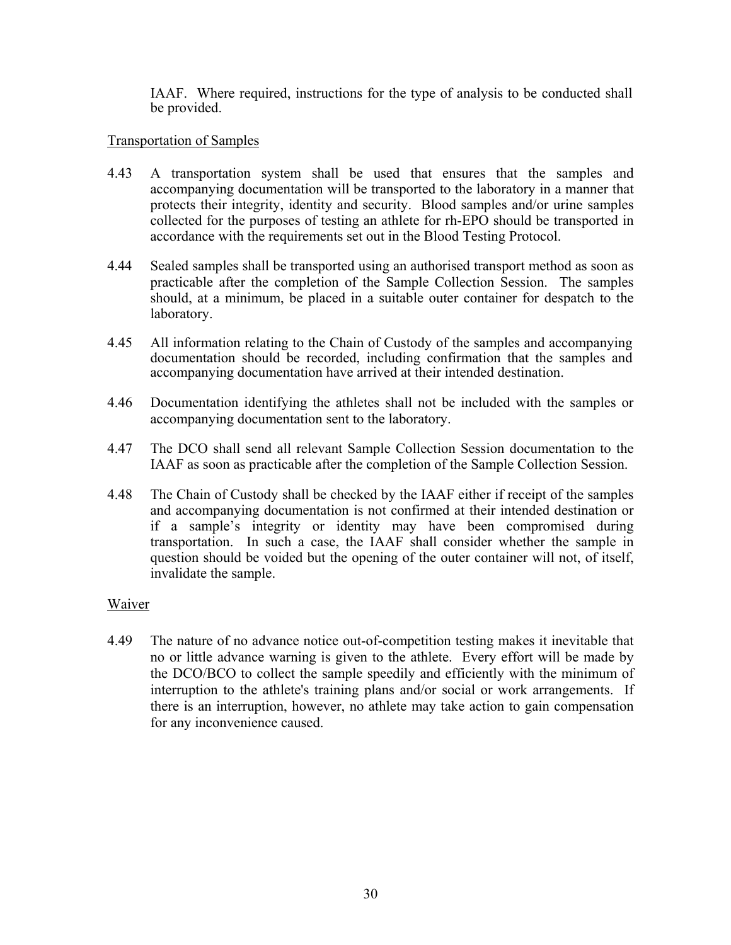IAAF. Where required, instructions for the type of analysis to be conducted shall be provided.

### Transportation of Samples

- 4.43 A transportation system shall be used that ensures that the samples and accompanying documentation will be transported to the laboratory in a manner that protects their integrity, identity and security. Blood samples and/or urine samples collected for the purposes of testing an athlete for rh-EPO should be transported in accordance with the requirements set out in the Blood Testing Protocol.
- 4.44 Sealed samples shall be transported using an authorised transport method as soon as practicable after the completion of the Sample Collection Session. The samples should, at a minimum, be placed in a suitable outer container for despatch to the laboratory.
- 4.45 All information relating to the Chain of Custody of the samples and accompanying documentation should be recorded, including confirmation that the samples and accompanying documentation have arrived at their intended destination.
- 4.46 Documentation identifying the athletes shall not be included with the samples or accompanying documentation sent to the laboratory.
- 4.47 The DCO shall send all relevant Sample Collection Session documentation to the IAAF as soon as practicable after the completion of the Sample Collection Session.
- 4.48 The Chain of Custody shall be checked by the IAAF either if receipt of the samples and accompanying documentation is not confirmed at their intended destination or if a sample's integrity or identity may have been compromised during transportation. In such a case, the IAAF shall consider whether the sample in question should be voided but the opening of the outer container will not, of itself, invalidate the sample.

#### Waiver

4.49 The nature of no advance notice out-of-competition testing makes it inevitable that no or little advance warning is given to the athlete. Every effort will be made by the DCO/BCO to collect the sample speedily and efficiently with the minimum of interruption to the athlete's training plans and/or social or work arrangements. If there is an interruption, however, no athlete may take action to gain compensation for any inconvenience caused.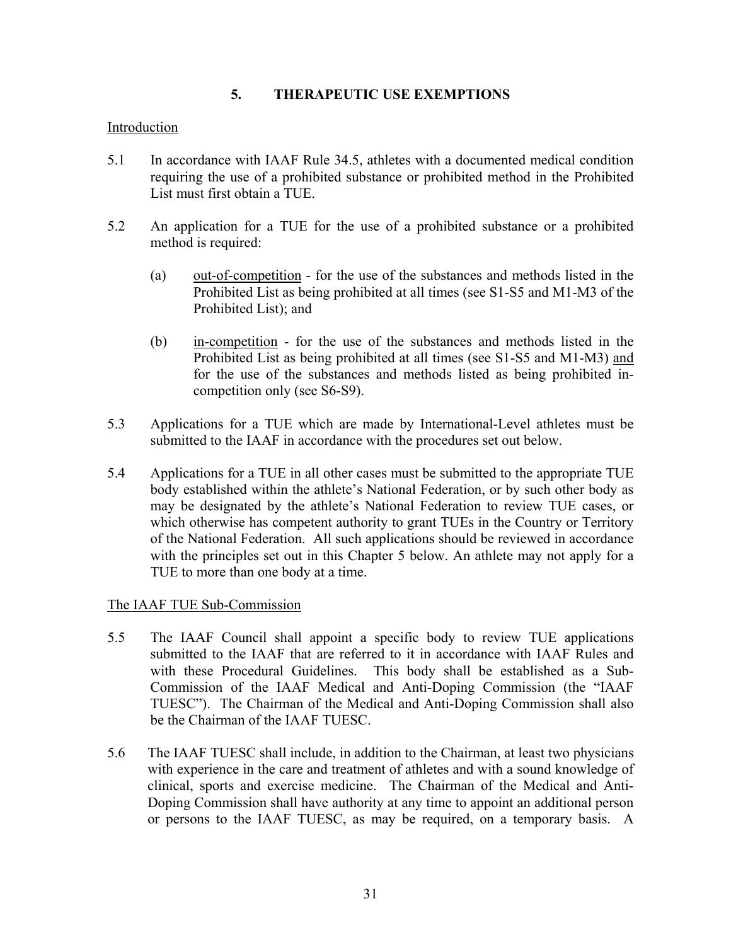## **5. THERAPEUTIC USE EXEMPTIONS**

#### Introduction

- 5.1 In accordance with IAAF Rule 34.5, athletes with a documented medical condition requiring the use of a prohibited substance or prohibited method in the Prohibited List must first obtain a TUE.
- 5.2 An application for a TUE for the use of a prohibited substance or a prohibited method is required:
	- (a) out-of-competition for the use of the substances and methods listed in the Prohibited List as being prohibited at all times (see S1-S5 and M1-M3 of the Prohibited List); and
	- (b) in-competition for the use of the substances and methods listed in the Prohibited List as being prohibited at all times (see S1-S5 and M1-M3) and for the use of the substances and methods listed as being prohibited incompetition only (see S6-S9).
- 5.3 Applications for a TUE which are made by International-Level athletes must be submitted to the IAAF in accordance with the procedures set out below.
- 5.4 Applications for a TUE in all other cases must be submitted to the appropriate TUE body established within the athlete's National Federation, or by such other body as may be designated by the athlete's National Federation to review TUE cases, or which otherwise has competent authority to grant TUEs in the Country or Territory of the National Federation. All such applications should be reviewed in accordance with the principles set out in this Chapter 5 below. An athlete may not apply for a TUE to more than one body at a time.

## The IAAF TUE Sub-Commission

- 5.5 The IAAF Council shall appoint a specific body to review TUE applications submitted to the IAAF that are referred to it in accordance with IAAF Rules and with these Procedural Guidelines. This body shall be established as a Sub-Commission of the IAAF Medical and Anti-Doping Commission (the "IAAF TUESC"). The Chairman of the Medical and Anti-Doping Commission shall also be the Chairman of the IAAF TUESC.
- 5.6 The IAAF TUESC shall include, in addition to the Chairman, at least two physicians with experience in the care and treatment of athletes and with a sound knowledge of clinical, sports and exercise medicine.The Chairman of the Medical and Anti-Doping Commission shall have authority at any time to appoint an additional person or persons to the IAAF TUESC, as may be required, on a temporary basis. A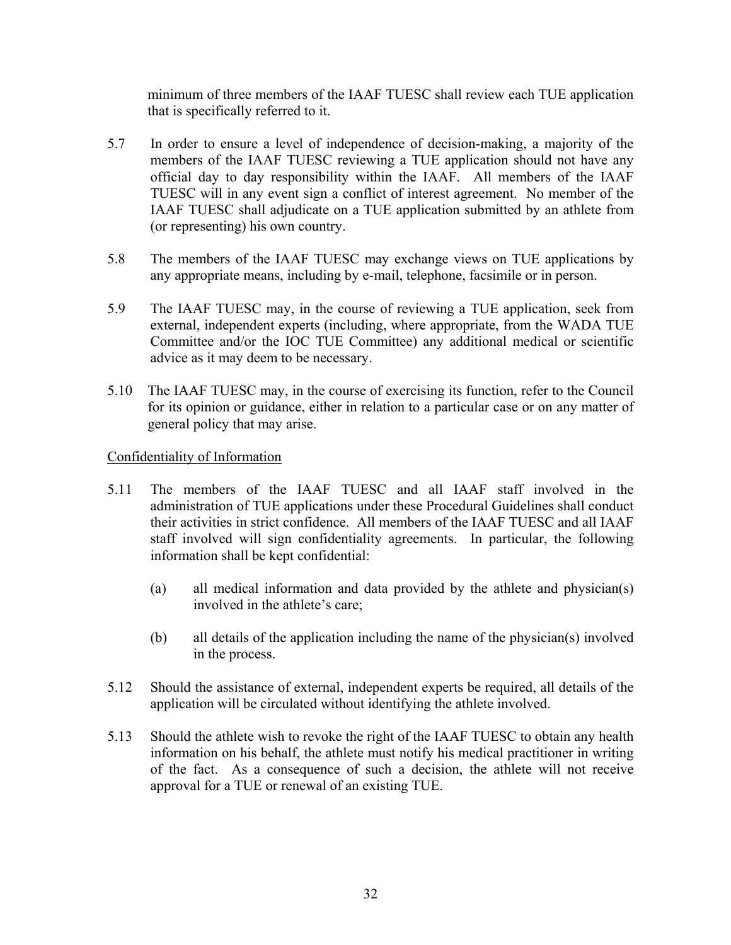minimum of three members of the IAAF TUESC shall review each TUE application that is specifically referred to it.

- 5.7 In order to ensure a level of independence of decision-making, a majority of the members of the IAAF TUESC reviewing a TUE application should not have any official day to day responsibility within the IAAF. All members of the IAAF TUESC will in any event sign a conflict of interest agreement. No member of the IAAF TUESC shall adjudicate on a TUE application submitted by an athlete from (or representing) his own country.
- 5.8 The members of the IAAF TUESC may exchange views on TUE applications by any appropriate means, including by e-mail, telephone, facsimile or in person.
- 5.9 The IAAF TUESC may, in the course of reviewing a TUE application, seek from external, independent experts (including, where appropriate, from the WADA TUE Committee and/or the IOC TUE Committee) any additional medical or scientific advice as it may deem to be necessary.
- 5.10 The IAAF TUESC may, in the course of exercising its function, refer to the Council for its opinion or guidance, either in relation to a particular case or on any matter of general policy that may arise.

## Confidentiality of Information

- 5.11 The members of the IAAF TUESC and all IAAF staff involved in the administration of TUE applications under these Procedural Guidelines shall conduct their activities in strict confidence. All members of the IAAF TUESC and all IAAF staff involved will sign confidentiality agreements. In particular, the following information shall be kept confidential:
	- (a) all medical information and data provided by the athlete and physician(s) involved in the athlete's care;
	- (b) all details of the application including the name of the physician(s) involved in the process.
- 5.12 Should the assistance of external, independent experts be required, all details of the application will be circulated without identifying the athlete involved.
- 5.13 Should the athlete wish to revoke the right of the IAAF TUESC to obtain any health information on his behalf, the athlete must notify his medical practitioner in writing of the fact. As a consequence of such a decision, the athlete will not receive approval for a TUE or renewal of an existing TUE.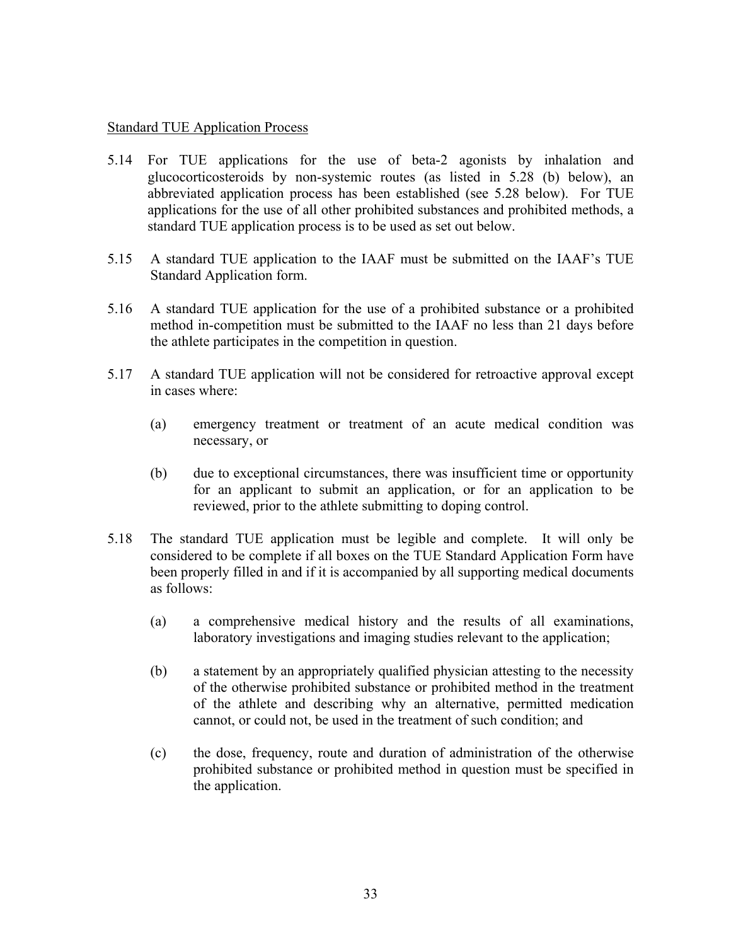#### Standard TUE Application Process

- 5.14 For TUE applications for the use of beta-2 agonists by inhalation and glucocorticosteroids by non-systemic routes (as listed in 5.28 (b) below), an abbreviated application process has been established (see 5.28 below). For TUE applications for the use of all other prohibited substances and prohibited methods, a standard TUE application process is to be used as set out below.
- 5.15 A standard TUE application to the IAAF must be submitted on the IAAF's TUE Standard Application form.
- 5.16 A standard TUE application for the use of a prohibited substance or a prohibited method in-competition must be submitted to the IAAF no less than 21 days before the athlete participates in the competition in question.
- 5.17 A standard TUE application will not be considered for retroactive approval except in cases where:
	- (a) emergency treatment or treatment of an acute medical condition was necessary, or
	- (b) due to exceptional circumstances, there was insufficient time or opportunity for an applicant to submit an application, or for an application to be reviewed, prior to the athlete submitting to doping control.
- 5.18 The standard TUE application must be legible and complete. It will only be considered to be complete if all boxes on the TUE Standard Application Form have been properly filled in and if it is accompanied by all supporting medical documents as follows:
	- (a) a comprehensive medical history and the results of all examinations, laboratory investigations and imaging studies relevant to the application;
	- (b) a statement by an appropriately qualified physician attesting to the necessity of the otherwise prohibited substance or prohibited method in the treatment of the athlete and describing why an alternative, permitted medication cannot, or could not, be used in the treatment of such condition; and
	- (c) the dose, frequency, route and duration of administration of the otherwise prohibited substance or prohibited method in question must be specified in the application.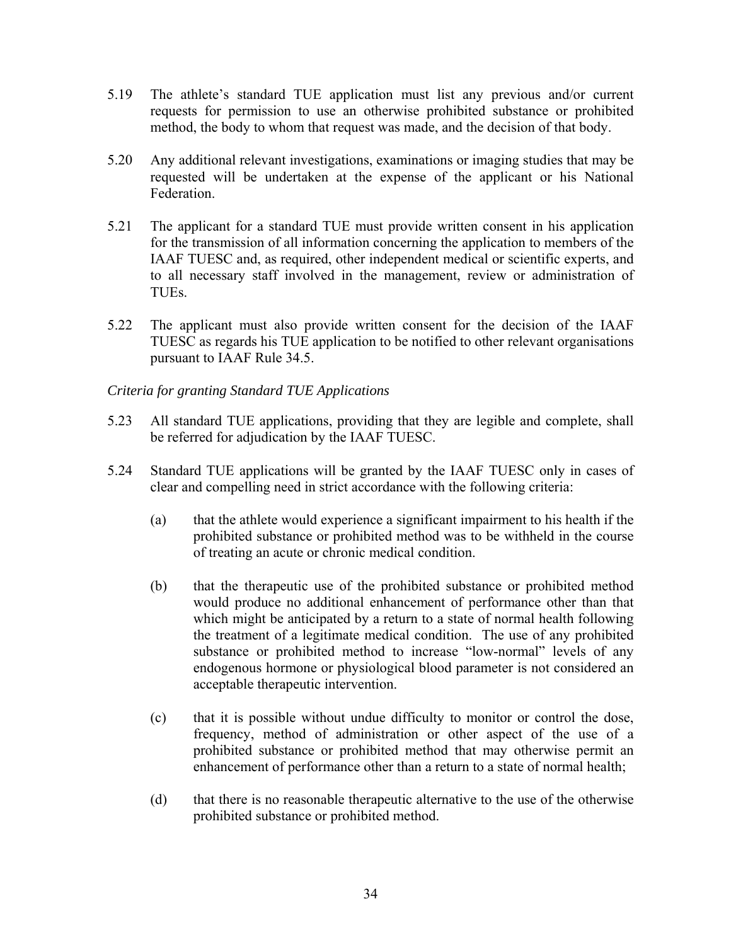- 5.19 The athlete's standard TUE application must list any previous and/or current requests for permission to use an otherwise prohibited substance or prohibited method, the body to whom that request was made, and the decision of that body.
- 5.20 Any additional relevant investigations, examinations or imaging studies that may be requested will be undertaken at the expense of the applicant or his National Federation.
- 5.21 The applicant for a standard TUE must provide written consent in his application for the transmission of all information concerning the application to members of the IAAF TUESC and, as required, other independent medical or scientific experts, and to all necessary staff involved in the management, review or administration of TUEs.
- 5.22 The applicant must also provide written consent for the decision of the IAAF TUESC as regards his TUE application to be notified to other relevant organisations pursuant to IAAF Rule 34.5.

#### *Criteria for granting Standard TUE Applications*

- 5.23 All standard TUE applications, providing that they are legible and complete, shall be referred for adjudication by the IAAF TUESC.
- 5.24 Standard TUE applications will be granted by the IAAF TUESC only in cases of clear and compelling need in strict accordance with the following criteria:
	- (a) that the athlete would experience a significant impairment to his health if the prohibited substance or prohibited method was to be withheld in the course of treating an acute or chronic medical condition.
	- (b) that the therapeutic use of the prohibited substance or prohibited method would produce no additional enhancement of performance other than that which might be anticipated by a return to a state of normal health following the treatment of a legitimate medical condition. The use of any prohibited substance or prohibited method to increase "low-normal" levels of any endogenous hormone or physiological blood parameter is not considered an acceptable therapeutic intervention.
	- (c) that it is possible without undue difficulty to monitor or control the dose, frequency, method of administration or other aspect of the use of a prohibited substance or prohibited method that may otherwise permit an enhancement of performance other than a return to a state of normal health;
	- (d) that there is no reasonable therapeutic alternative to the use of the otherwise prohibited substance or prohibited method.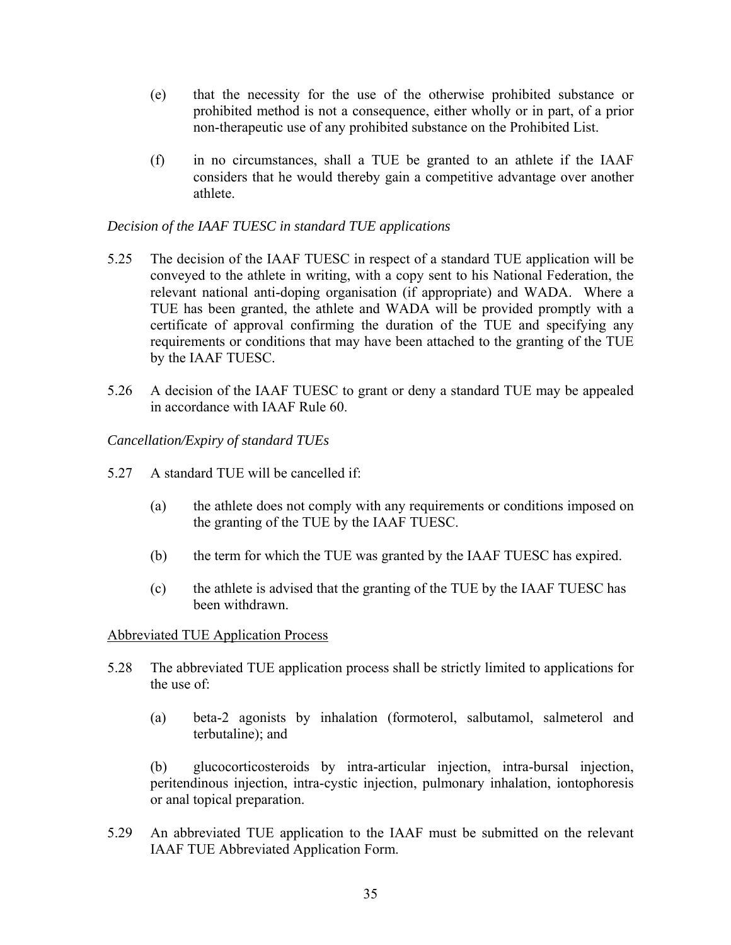- (e) that the necessity for the use of the otherwise prohibited substance or prohibited method is not a consequence, either wholly or in part, of a prior non-therapeutic use of any prohibited substance on the Prohibited List.
- (f) in no circumstances, shall a TUE be granted to an athlete if the IAAF considers that he would thereby gain a competitive advantage over another athlete.

#### *Decision of the IAAF TUESC in standard TUE applications*

- 5.25 The decision of the IAAF TUESC in respect of a standard TUE application will be conveyed to the athlete in writing, with a copy sent to his National Federation, the relevant national anti-doping organisation (if appropriate) and WADA. Where a TUE has been granted, the athlete and WADA will be provided promptly with a certificate of approval confirming the duration of the TUE and specifying any requirements or conditions that may have been attached to the granting of the TUE by the IAAF TUESC.
- 5.26 A decision of the IAAF TUESC to grant or deny a standard TUE may be appealed in accordance with IAAF Rule 60.

#### *Cancellation/Expiry of standard TUEs*

- 5.27 A standard TUE will be cancelled if:
	- (a) the athlete does not comply with any requirements or conditions imposed on the granting of the TUE by the IAAF TUESC.
	- (b) the term for which the TUE was granted by the IAAF TUESC has expired.
	- (c) the athlete is advised that the granting of the TUE by the IAAF TUESC has been withdrawn.

#### Abbreviated TUE Application Process

- 5.28 The abbreviated TUE application process shall be strictly limited to applications for the use of:
	- (a) beta-2 agonists by inhalation (formoterol, salbutamol, salmeterol and terbutaline); and

(b) glucocorticosteroids by intra-articular injection, intra-bursal injection, peritendinous injection, intra-cystic injection, pulmonary inhalation, iontophoresis or anal topical preparation.

5.29 An abbreviated TUE application to the IAAF must be submitted on the relevant IAAF TUE Abbreviated Application Form.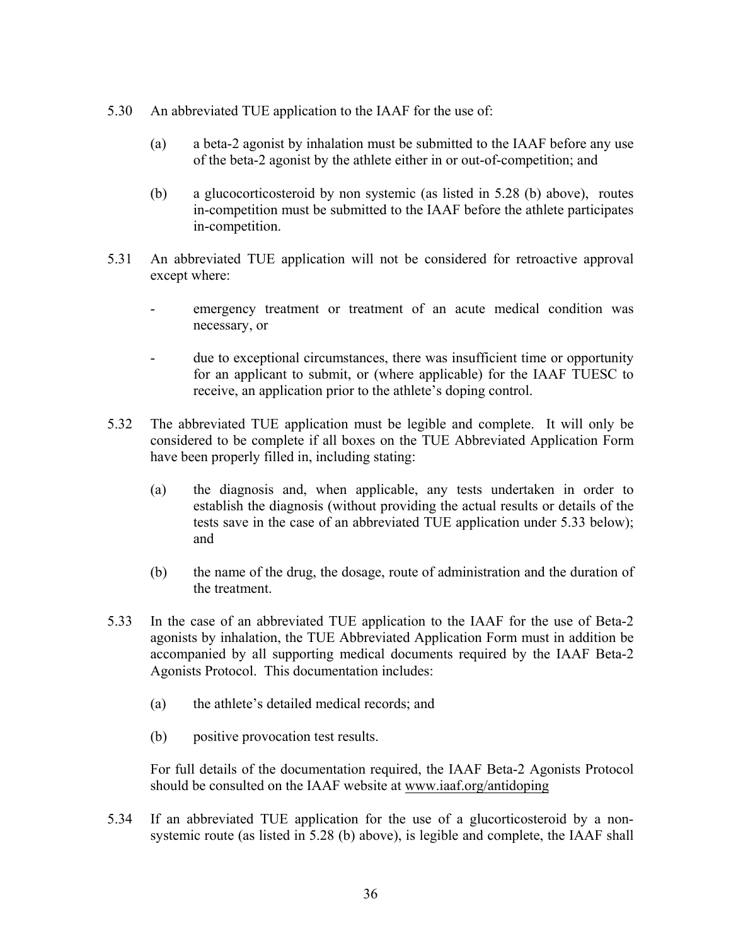- 5.30 An abbreviated TUE application to the IAAF for the use of:
	- (a) a beta-2 agonist by inhalation must be submitted to the IAAF before any use of the beta-2 agonist by the athlete either in or out-of-competition; and
	- (b) a glucocorticosteroid by non systemic (as listed in 5.28 (b) above), routes in-competition must be submitted to the IAAF before the athlete participates in-competition.
- 5.31 An abbreviated TUE application will not be considered for retroactive approval except where:
	- emergency treatment or treatment of an acute medical condition was necessary, or
	- due to exceptional circumstances, there was insufficient time or opportunity for an applicant to submit, or (where applicable) for the IAAF TUESC to receive, an application prior to the athlete's doping control.
- 5.32 The abbreviated TUE application must be legible and complete. It will only be considered to be complete if all boxes on the TUE Abbreviated Application Form have been properly filled in, including stating:
	- (a) the diagnosis and, when applicable, any tests undertaken in order to establish the diagnosis (without providing the actual results or details of the tests save in the case of an abbreviated TUE application under 5.33 below); and
	- (b) the name of the drug, the dosage, route of administration and the duration of the treatment.
- 5.33 In the case of an abbreviated TUE application to the IAAF for the use of Beta-2 agonists by inhalation, the TUE Abbreviated Application Form must in addition be accompanied by all supporting medical documents required by the IAAF Beta-2 Agonists Protocol. This documentation includes:
	- (a) the athlete's detailed medical records; and
	- (b) positive provocation test results.

For full details of the documentation required, the IAAF Beta-2 Agonists Protocol should be consulted on the IAAF website at www.iaaf.org/antidoping

5.34 If an abbreviated TUE application for the use of a glucorticosteroid by a nonsystemic route (as listed in 5.28 (b) above), is legible and complete, the IAAF shall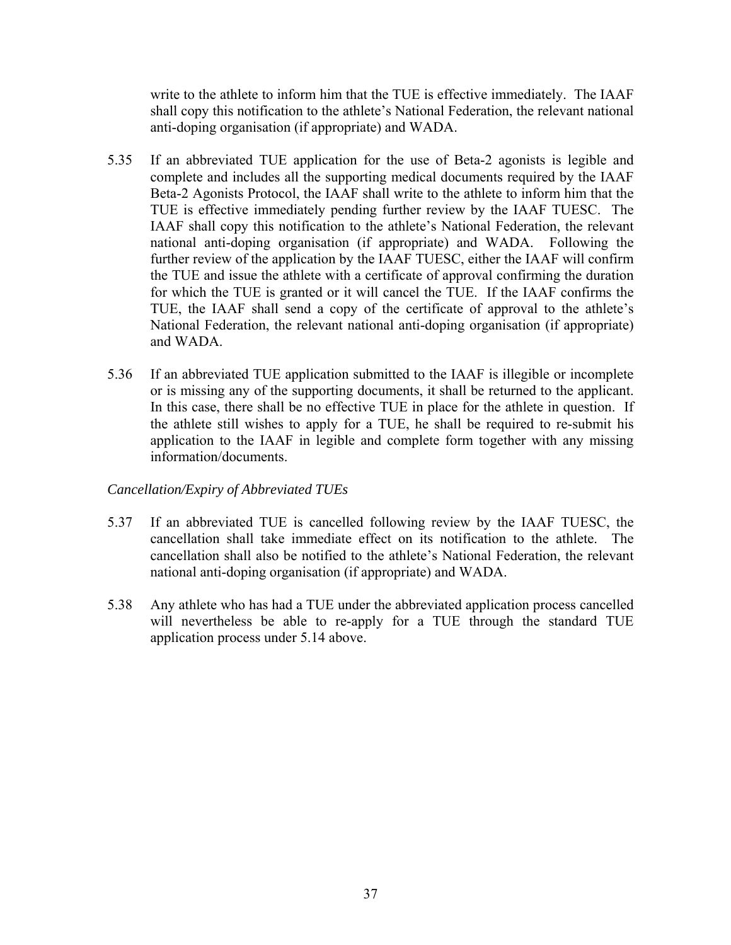write to the athlete to inform him that the TUE is effective immediately. The IAAF shall copy this notification to the athlete's National Federation, the relevant national anti-doping organisation (if appropriate) and WADA.

- 5.35 If an abbreviated TUE application for the use of Beta-2 agonists is legible and complete and includes all the supporting medical documents required by the IAAF Beta-2 Agonists Protocol, the IAAF shall write to the athlete to inform him that the TUE is effective immediately pending further review by the IAAF TUESC. The IAAF shall copy this notification to the athlete's National Federation, the relevant national anti-doping organisation (if appropriate) and WADA. Following the further review of the application by the IAAF TUESC, either the IAAF will confirm the TUE and issue the athlete with a certificate of approval confirming the duration for which the TUE is granted or it will cancel the TUE. If the IAAF confirms the TUE, the IAAF shall send a copy of the certificate of approval to the athlete's National Federation, the relevant national anti-doping organisation (if appropriate) and WADA.
- 5.36 If an abbreviated TUE application submitted to the IAAF is illegible or incomplete or is missing any of the supporting documents, it shall be returned to the applicant. In this case, there shall be no effective TUE in place for the athlete in question. If the athlete still wishes to apply for a TUE, he shall be required to re-submit his application to the IAAF in legible and complete form together with any missing information/documents.

## *Cancellation/Expiry of Abbreviated TUEs*

- 5.37 If an abbreviated TUE is cancelled following review by the IAAF TUESC, the cancellation shall take immediate effect on its notification to the athlete. The cancellation shall also be notified to the athlete's National Federation, the relevant national anti-doping organisation (if appropriate) and WADA.
- 5.38 Any athlete who has had a TUE under the abbreviated application process cancelled will nevertheless be able to re-apply for a TUE through the standard TUE application process under 5.14 above.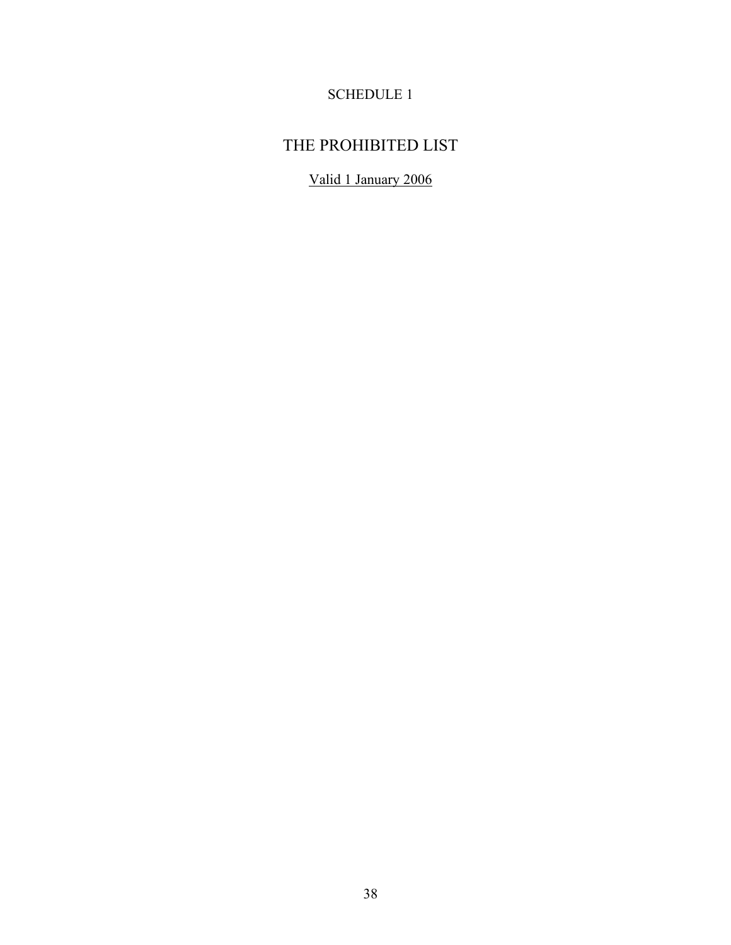# SCHEDULE 1

# THE PROHIBITED LIST

Valid 1 January 2006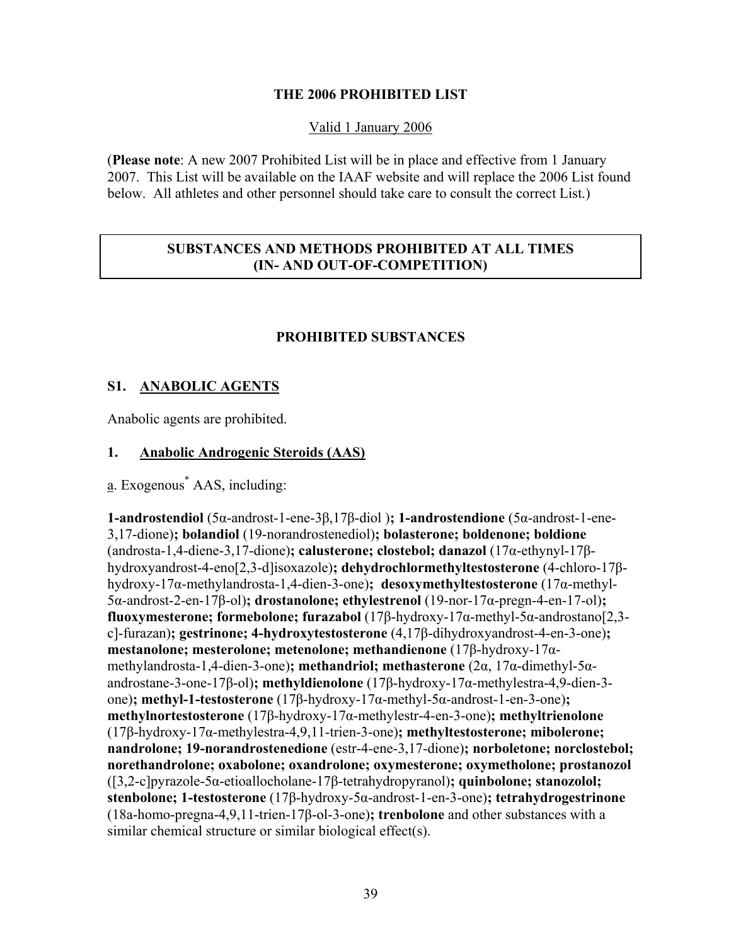#### **THE 2006 PROHIBITED LIST**

#### Valid 1 January 2006

(**Please note**: A new 2007 Prohibited List will be in place and effective from 1 January 2007. This List will be available on the IAAF website and will replace the 2006 List found below. All athletes and other personnel should take care to consult the correct List.)

## **SUBSTANCES AND METHODS PROHIBITED AT ALL TIMES (IN- AND OUT-OF-COMPETITION)**

## **PROHIBITED SUBSTANCES**

#### **S1. ANABOLIC AGENTS**

Anabolic agents are prohibited.

#### **1. Anabolic Androgenic Steroids (AAS)**

a. Exogenous<sup>\*</sup> AAS, including:

**1-androstendiol** (5α-androst-1-ene-3β,17β-diol )**; 1-androstendione** (5α-androst-1-ene-3,17-dione)**; bolandiol** (19-norandrostenediol)**; bolasterone; boldenone; boldione**  (androsta-1,4-diene-3,17-dione)**; calusterone; clostebol; danazol** (17α-ethynyl-17βhydroxyandrost-4-eno[2,3-d]isoxazole)**; dehydrochlormethyltestosterone** (4-chloro-17βhydroxy-17α-methylandrosta-1,4-dien-3-one)**; desoxymethyltestosterone** (17α-methyl-5α-androst-2-en-17β-ol)**; drostanolone; ethylestrenol** (19-nor-17α-pregn-4-en-17-ol)**; fluoxymesterone; formebolone; furazabol** (17β-hydroxy-17α-methyl-5α-androstano[2,3 c]-furazan)**; gestrinone; 4-hydroxytestosterone** (4,17β-dihydroxyandrost-4-en-3-one)**; mestanolone; mesterolone; metenolone; methandienone** (17β-hydroxy-17αmethylandrosta-1,4-dien-3-one)**; methandriol; methasterone** (2α, 17α-dimethyl-5αandrostane-3-one-17β-ol)**; methyldienolone** (17β-hydroxy-17α-methylestra-4,9-dien-3 one)**; methyl-1-testosterone** (17β-hydroxy-17α-methyl-5α-androst-1-en-3-one)**; methylnortestosterone** (17β-hydroxy-17α-methylestr-4-en-3-one)**; methyltrienolone**  (17β-hydroxy-17α-methylestra-4,9,11-trien-3-one)**; methyltestosterone; mibolerone; nandrolone; 19-norandrostenedione** (estr-4-ene-3,17-dione)**; norboletone; norclostebol; norethandrolone; oxabolone; oxandrolone; oxymesterone; oxymetholone; prostanozol**  ([3,2-c]pyrazole-5α-etioallocholane-17β-tetrahydropyranol)**; quinbolone; stanozolol; stenbolone; 1-testosterone** (17β-hydroxy-5α-androst-1-en-3-one)**; tetrahydrogestrinone**  (18a-homo-pregna-4,9,11-trien-17β-ol-3-one)**; trenbolone** and other substances with a similar chemical structure or similar biological effect(s).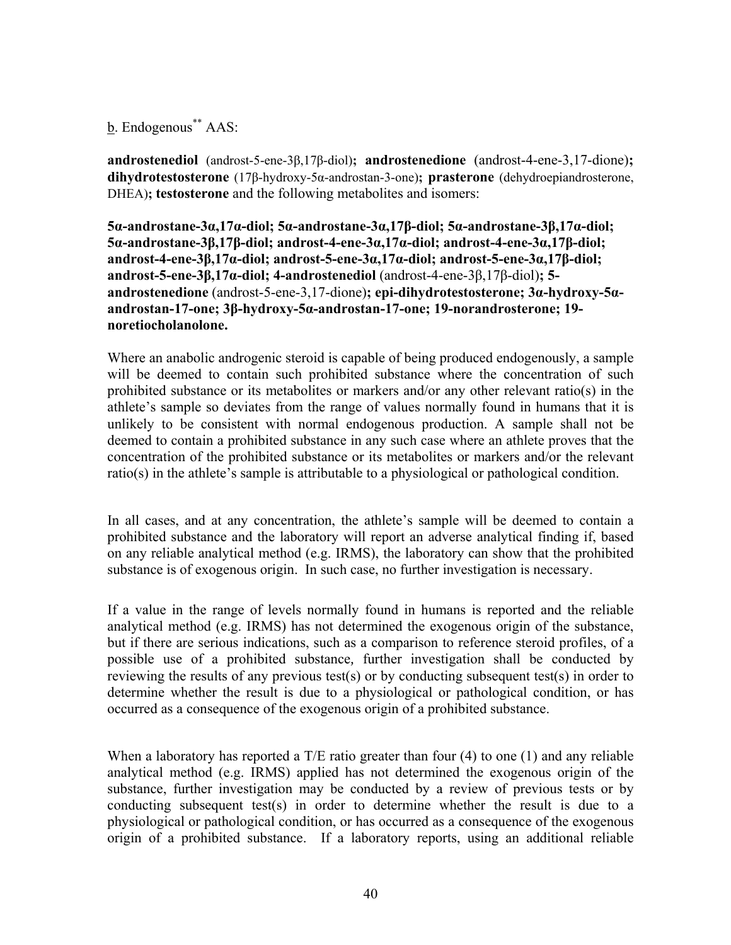# b. Endogenous<sup>\*\*</sup> AAS:

**androstenediol** (androst-5-ene-3β,17β-diol)**; androstenedione** (androst-4-ene-3,17-dione)**; dihydrotestosterone** (17β-hydroxy-5α-androstan-3-one)**; prasterone** (dehydroepiandrosterone, DHEA)**; testosterone** and the following metabolites and isomers:

**5α-androstane-3α,17α-diol; 5α-androstane-3α,17β-diol; 5α-androstane-3β,17α-diol; 5α-androstane-3β,17β-diol; androst-4-ene-3α,17α-diol; androst-4-ene-3α,17β-diol; androst-4-ene-3β,17α-diol; androst-5-ene-3α,17α-diol; androst-5-ene-3α,17β-diol; androst-5-ene-3β,17α-diol; 4-androstenediol** (androst-4-ene-3β,17β-diol)**; 5 androstenedione** (androst-5-ene-3,17-dione)**; epi-dihydrotestosterone; 3α-hydroxy-5αandrostan-17-one; 3β-hydroxy-5α-androstan-17-one; 19-norandrosterone; 19 noretiocholanolone.** 

Where an anabolic androgenic steroid is capable of being produced endogenously, a sample will be deemed to contain such prohibited substance where the concentration of such prohibited substance or its metabolites or markers and/or any other relevant ratio(s) in the athlete's sample so deviates from the range of values normally found in humans that it is unlikely to be consistent with normal endogenous production. A sample shall not be deemed to contain a prohibited substance in any such case where an athlete proves that the concentration of the prohibited substance or its metabolites or markers and/or the relevant ratio(s) in the athlete's sample is attributable to a physiological or pathological condition.

In all cases, and at any concentration, the athlete's sample will be deemed to contain a prohibited substance and the laboratory will report an adverse analytical finding if, based on any reliable analytical method (e.g. IRMS), the laboratory can show that the prohibited substance is of exogenous origin. In such case, no further investigation is necessary.

If a value in the range of levels normally found in humans is reported and the reliable analytical method (e.g. IRMS) has not determined the exogenous origin of the substance, but if there are serious indications, such as a comparison to reference steroid profiles, of a possible use of a prohibited substance*,* further investigation shall be conducted by reviewing the results of any previous test(s) or by conducting subsequent test(s) in order to determine whether the result is due to a physiological or pathological condition, or has occurred as a consequence of the exogenous origin of a prohibited substance.

When a laboratory has reported a T/E ratio greater than four (4) to one (1) and any reliable analytical method (e.g. IRMS) applied has not determined the exogenous origin of the substance, further investigation may be conducted by a review of previous tests or by conducting subsequent test(s) in order to determine whether the result is due to a physiological or pathological condition, or has occurred as a consequence of the exogenous origin of a prohibited substance. If a laboratory reports, using an additional reliable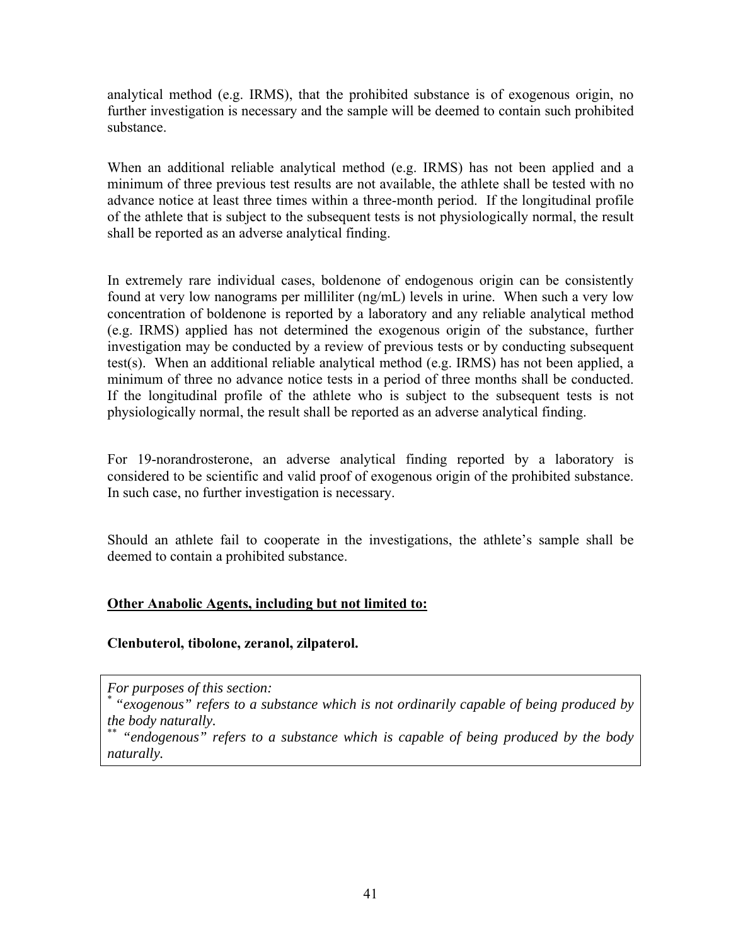analytical method (e.g. IRMS), that the prohibited substance is of exogenous origin, no further investigation is necessary and the sample will be deemed to contain such prohibited substance.

When an additional reliable analytical method (e.g. IRMS) has not been applied and a minimum of three previous test results are not available, the athlete shall be tested with no advance notice at least three times within a three-month period. If the longitudinal profile of the athlete that is subject to the subsequent tests is not physiologically normal, the result shall be reported as an adverse analytical finding.

In extremely rare individual cases, boldenone of endogenous origin can be consistently found at very low nanograms per milliliter (ng/mL) levels in urine. When such a very low concentration of boldenone is reported by a laboratory and any reliable analytical method (e.g. IRMS) applied has not determined the exogenous origin of the substance, further investigation may be conducted by a review of previous tests or by conducting subsequent test(s). When an additional reliable analytical method (e.g. IRMS) has not been applied, a minimum of three no advance notice tests in a period of three months shall be conducted. If the longitudinal profile of the athlete who is subject to the subsequent tests is not physiologically normal, the result shall be reported as an adverse analytical finding.

For 19-norandrosterone, an adverse analytical finding reported by a laboratory is considered to be scientific and valid proof of exogenous origin of the prohibited substance. In such case, no further investigation is necessary.

Should an athlete fail to cooperate in the investigations, the athlete's sample shall be deemed to contain a prohibited substance.

## **Other Anabolic Agents, including but not limited to:**

#### **Clenbuterol, tibolone, zeranol, zilpaterol.**

*For purposes of this section:* 

\* *"exogenous" refers to a substance which is not ordinarily capable of being produced by the body naturally.*

\*\* *"endogenous" refers to a substance which is capable of being produced by the body naturally.*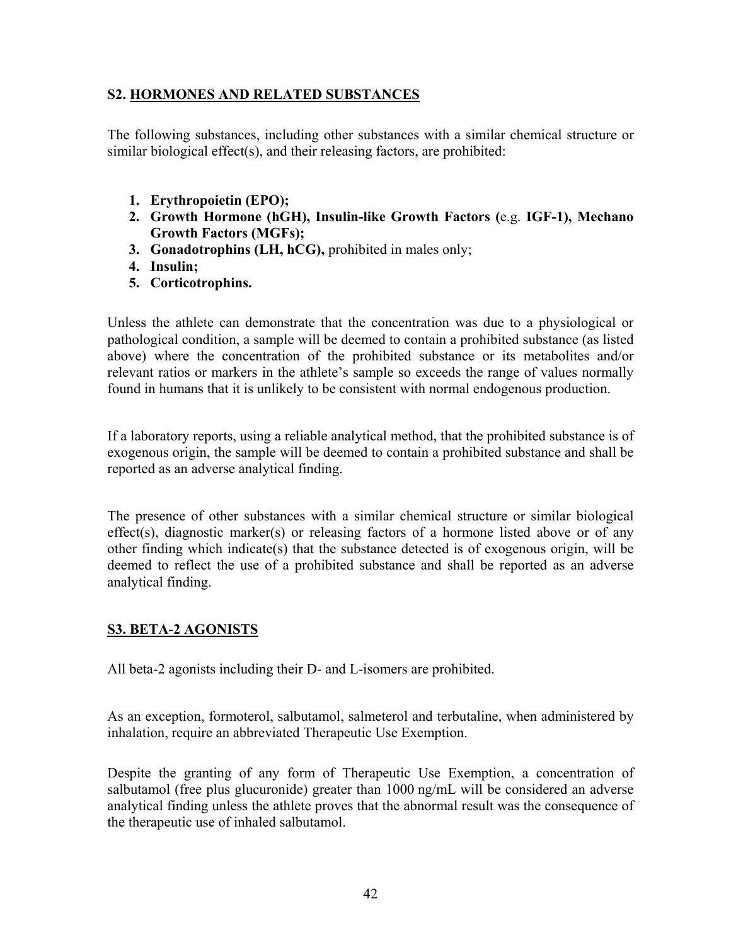## **S2. HORMONES AND RELATED SUBSTANCES**

The following substances, including other substances with a similar chemical structure or similar biological effect(s), and their releasing factors, are prohibited:

- **1. Erythropoietin (EPO);**
- **2. Growth Hormone (hGH), Insulin-like Growth Factors (**e.g. **IGF-1), Mechano Growth Factors (MGFs);**
- **3. Gonadotrophins (LH, hCG),** prohibited in males only;
- **4. Insulin;**
- **5. Corticotrophins.**

Unless the athlete can demonstrate that the concentration was due to a physiological or pathological condition, a sample will be deemed to contain a prohibited substance (as listed above) where the concentration of the prohibited substance or its metabolites and/or relevant ratios or markers in the athlete's sample so exceeds the range of values normally found in humans that it is unlikely to be consistent with normal endogenous production.

If a laboratory reports, using a reliable analytical method, that the prohibited substance is of exogenous origin, the sample will be deemed to contain a prohibited substance and shall be reported as an adverse analytical finding.

The presence of other substances with a similar chemical structure or similar biological effect(s), diagnostic marker(s) or releasing factors of a hormone listed above or of any other finding which indicate(s) that the substance detected is of exogenous origin, will be deemed to reflect the use of a prohibited substance and shall be reported as an adverse analytical finding.

## **S3. BETA-2 AGONISTS**

All beta-2 agonists including their D- and L-isomers are prohibited.

As an exception, formoterol, salbutamol, salmeterol and terbutaline, when administered by inhalation, require an abbreviated Therapeutic Use Exemption.

Despite the granting of any form of Therapeutic Use Exemption, a concentration of salbutamol (free plus glucuronide) greater than 1000 ng/mL will be considered an adverse analytical finding unless the athlete proves that the abnormal result was the consequence of the therapeutic use of inhaled salbutamol.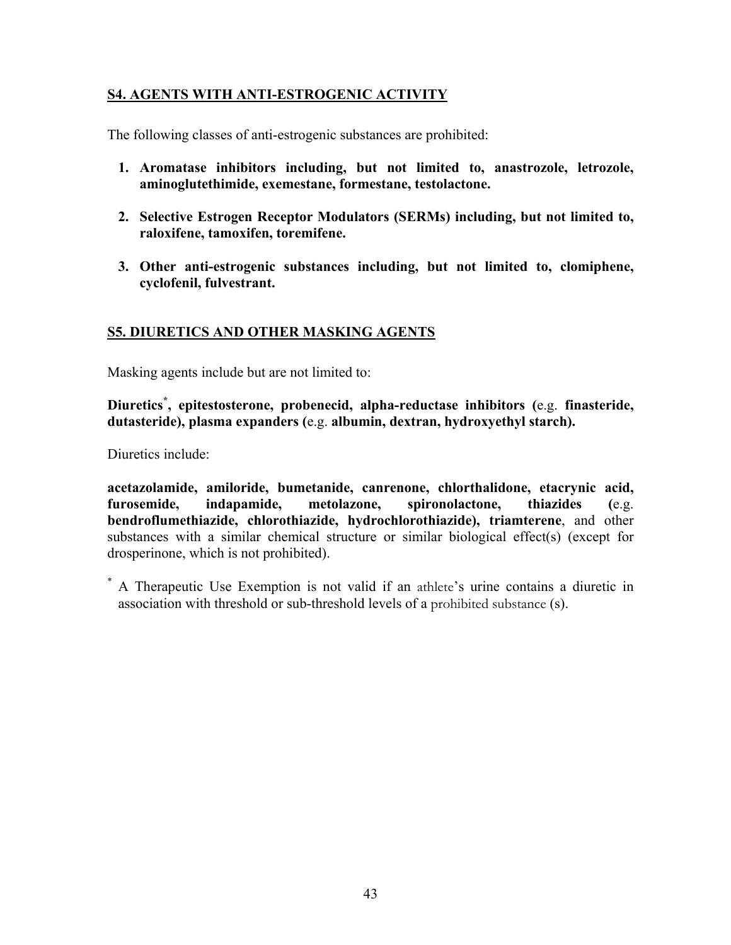## **S4. AGENTS WITH ANTI-ESTROGENIC ACTIVITY**

The following classes of anti-estrogenic substances are prohibited:

- **1. Aromatase inhibitors including, but not limited to, anastrozole, letrozole, aminoglutethimide, exemestane, formestane, testolactone.**
- **2. Selective Estrogen Receptor Modulators (SERMs) including, but not limited to, raloxifene, tamoxifen, toremifene.**
- **3. Other anti-estrogenic substances including, but not limited to, clomiphene, cyclofenil, fulvestrant.**

## **S5. DIURETICS AND OTHER MASKING AGENTS**

Masking agents include but are not limited to:

**Diuretics\* , epitestosterone, probenecid, alpha-reductase inhibitors (**e.g. **finasteride, dutasteride), plasma expanders (**e.g. **albumin, dextran, hydroxyethyl starch).** 

Diuretics include:

**acetazolamide, amiloride, bumetanide, canrenone, chlorthalidone, etacrynic acid, furosemide, indapamide, metolazone, spironolactone, thiazides (**e.g. **bendroflumethiazide, chlorothiazide, hydrochlorothiazide), triamterene**, and other substances with a similar chemical structure or similar biological effect(s) (except for drosperinone, which is not prohibited).

\* A Therapeutic Use Exemption is not valid if an athlete's urine contains a diuretic in association with threshold or sub-threshold levels of a prohibited substance (s).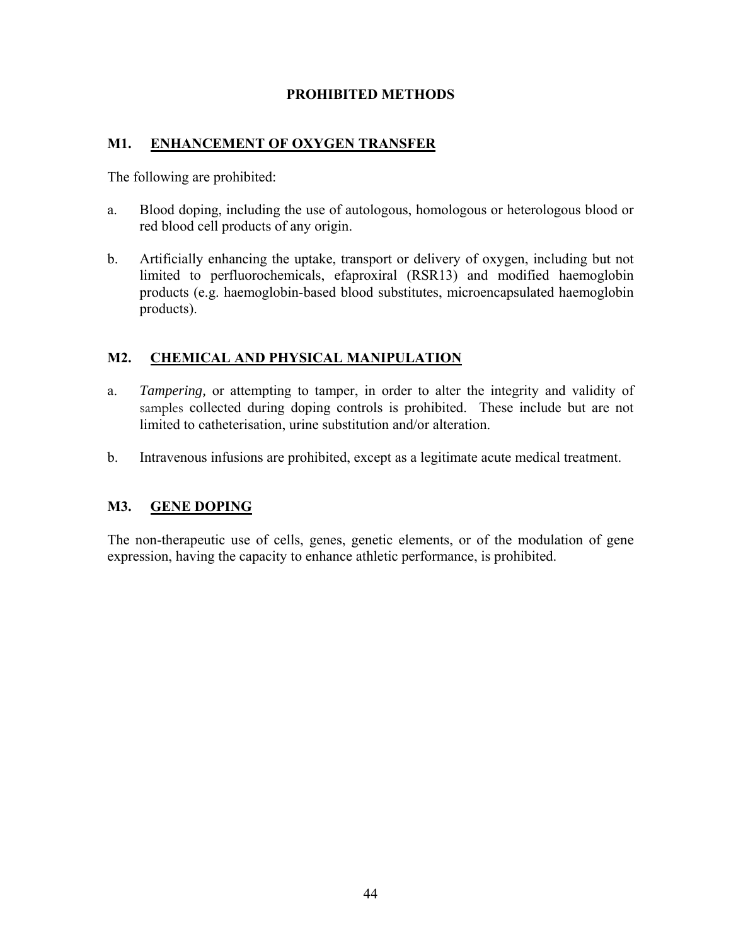## **PROHIBITED METHODS**

## **M1. ENHANCEMENT OF OXYGEN TRANSFER**

The following are prohibited:

- a. Blood doping, including the use of autologous, homologous or heterologous blood or red blood cell products of any origin.
- b. Artificially enhancing the uptake, transport or delivery of oxygen, including but not limited to perfluorochemicals, efaproxiral (RSR13) and modified haemoglobin products (e.g. haemoglobin-based blood substitutes, microencapsulated haemoglobin products).

# **M2. CHEMICAL AND PHYSICAL MANIPULATION**

- a. *Tampering,* or attempting to tamper, in order to alter the integrity and validity of samples collected during doping controls is prohibited. These include but are not limited to catheterisation, urine substitution and/or alteration.
- b. Intravenous infusions are prohibited, except as a legitimate acute medical treatment.

## **M3. GENE DOPING**

The non-therapeutic use of cells, genes, genetic elements, or of the modulation of gene expression, having the capacity to enhance athletic performance, is prohibited.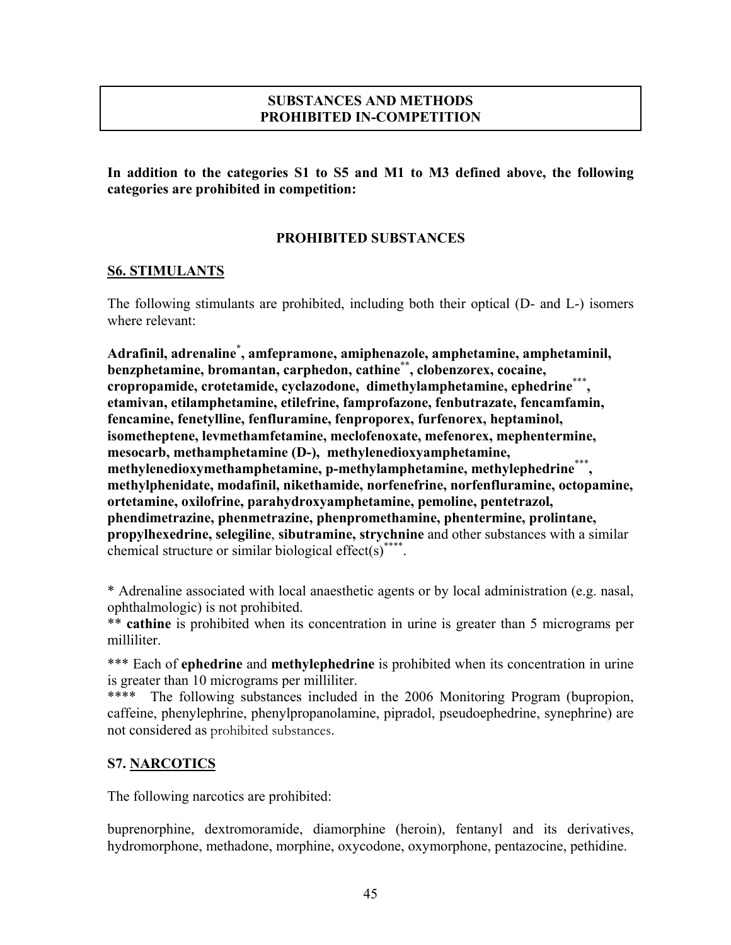## **SUBSTANCES AND METHODS PROHIBITED IN-COMPETITION**

**In addition to the categories S1 to S5 and M1 to M3 defined above, the following categories are prohibited in competition:** 

## **PROHIBITED SUBSTANCES**

#### **S6. STIMULANTS**

The following stimulants are prohibited, including both their optical (D- and L-) isomers where relevant:

**Adrafinil, adrenaline\* , amfepramone, amiphenazole, amphetamine, amphetaminil, benzphetamine, bromantan, carphedon, cathine\*\*, clobenzorex, cocaine, cropropamide, crotetamide, cyclazodone, dimethylamphetamine, ephedrine**\*\*\***, etamivan, etilamphetamine, etilefrine, famprofazone, fenbutrazate, fencamfamin, fencamine, fenetylline, fenfluramine, fenproporex, furfenorex, heptaminol, isometheptene, levmethamfetamine, meclofenoxate, mefenorex, mephentermine, mesocarb, methamphetamine (D-), methylenedioxyamphetamine, methylenedioxymethamphetamine, p-methylamphetamine, methylephedrine**\*\*\***, methylphenidate, modafinil, nikethamide, norfenefrine, norfenfluramine, octopamine, ortetamine, oxilofrine, parahydroxyamphetamine, pemoline, pentetrazol, phendimetrazine, phenmetrazine, phenpromethamine, phentermine, prolintane, propylhexedrine, selegiline**, **sibutramine, strychnine** and other substances with a similar chemical structure or similar biological effect(s)<sup>\*\*\*\*</sup>.

\* Adrenaline associated with local anaesthetic agents or by local administration (e.g. nasal, ophthalmologic) is not prohibited.

\*\* **cathine** is prohibited when its concentration in urine is greater than 5 micrograms per milliliter.

\*\*\* Each of **ephedrine** and **methylephedrine** is prohibited when its concentration in urine is greater than 10 micrograms per milliliter.

\*\*\*\* The following substances included in the 2006 Monitoring Program (bupropion, caffeine, phenylephrine, phenylpropanolamine, pipradol, pseudoephedrine, synephrine) are not considered as prohibited substances.

## **S7. NARCOTICS**

The following narcotics are prohibited:

buprenorphine, dextromoramide, diamorphine (heroin), fentanyl and its derivatives, hydromorphone, methadone, morphine, oxycodone, oxymorphone, pentazocine, pethidine.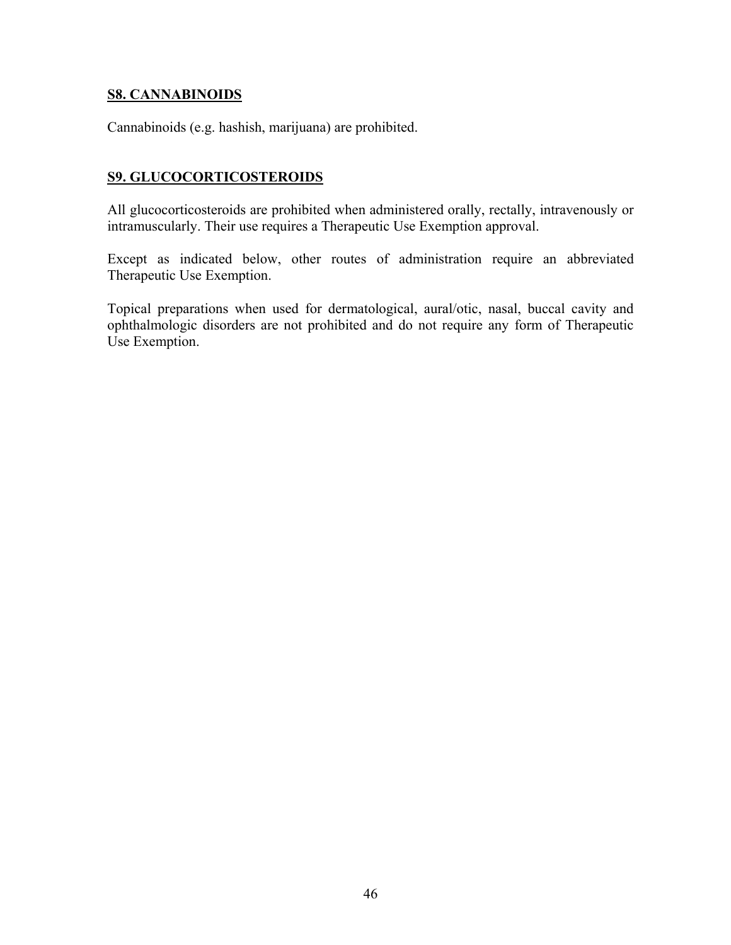## **S8. CANNABINOIDS**

Cannabinoids (e.g. hashish, marijuana) are prohibited.

## **S9. GLUCOCORTICOSTEROIDS**

All glucocorticosteroids are prohibited when administered orally, rectally, intravenously or intramuscularly. Their use requires a Therapeutic Use Exemption approval.

Except as indicated below, other routes of administration require an abbreviated Therapeutic Use Exemption.

Topical preparations when used for dermatological, aural/otic, nasal, buccal cavity and ophthalmologic disorders are not prohibited and do not require any form of Therapeutic Use Exemption.